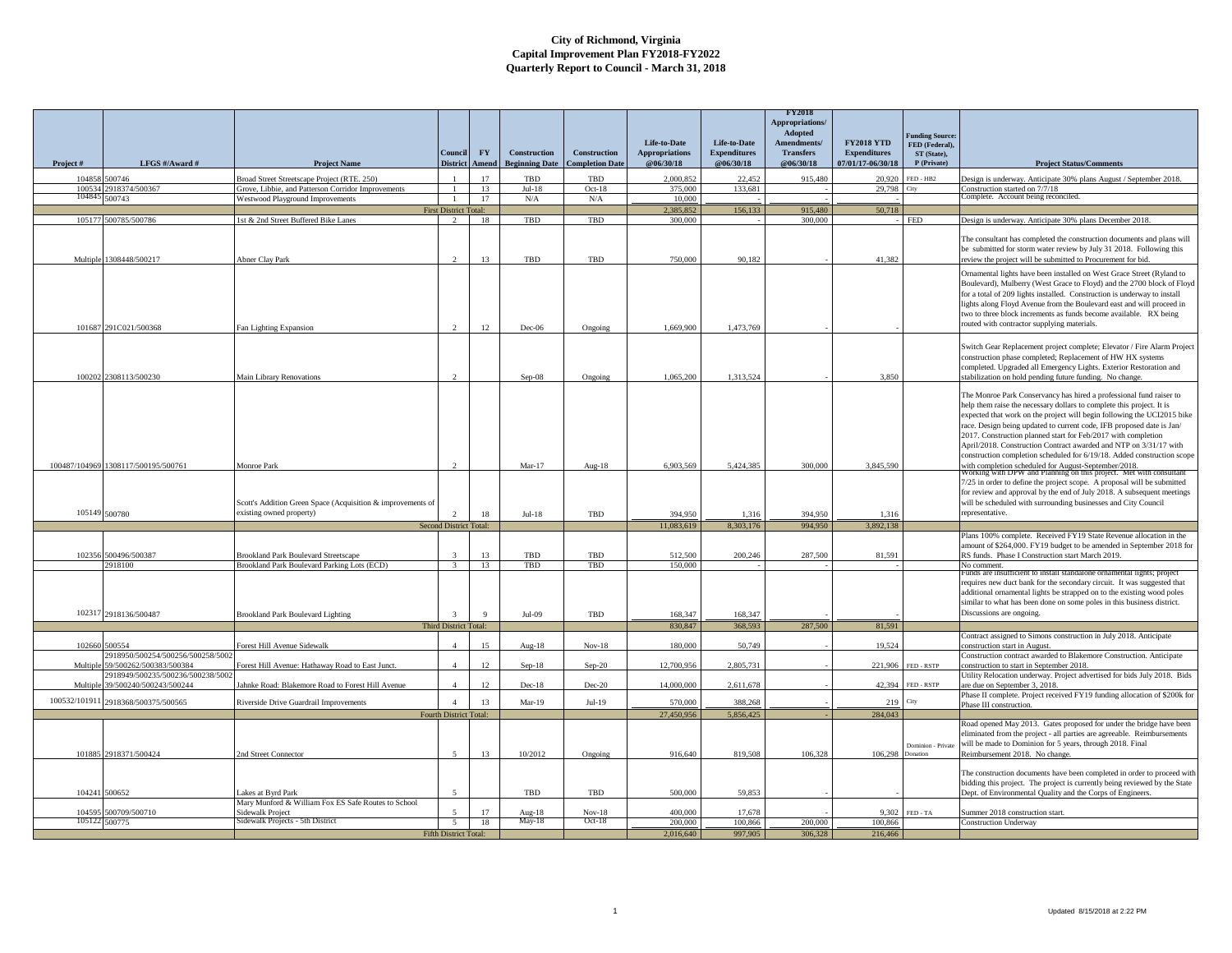|               |                                                              |                                                                                            |                              |                       |                                       |                                               |                                    |                                  | <b>FY2018</b><br>Appropriations/ |                                          |                                 |                                                                                                                                                                                                                                                                                                                                                                                                                                                                                                                   |
|---------------|--------------------------------------------------------------|--------------------------------------------------------------------------------------------|------------------------------|-----------------------|---------------------------------------|-----------------------------------------------|------------------------------------|----------------------------------|----------------------------------|------------------------------------------|---------------------------------|-------------------------------------------------------------------------------------------------------------------------------------------------------------------------------------------------------------------------------------------------------------------------------------------------------------------------------------------------------------------------------------------------------------------------------------------------------------------------------------------------------------------|
|               |                                                              |                                                                                            |                              |                       |                                       |                                               | Life-to-Date                       | Life-to-Date                     | Adopted<br>Amendments/           | <b>FY2018 YTD</b>                        | unding Source<br>FED (Federal), |                                                                                                                                                                                                                                                                                                                                                                                                                                                                                                                   |
| Project#      | LFGS #/Award #                                               | <b>Project Name</b>                                                                        | Council<br><b>District</b>   | <b>FY</b><br>Amend    | Construction<br><b>Beginning Date</b> | <b>Construction</b><br><b>Completion Date</b> | <b>Appropriations</b><br>@06/30/18 | <b>Expenditures</b><br>@06/30/18 | <b>Transfers</b><br>@06/30/18    | <b>Expenditures</b><br>07/01/17-06/30/18 | ST (State).<br>P (Private)      | <b>Project Status/Comments</b>                                                                                                                                                                                                                                                                                                                                                                                                                                                                                    |
|               | 104858 500746                                                | Broad Street Streetscape Project (RTE, 250)                                                |                              | 17                    | TBD                                   | TBD                                           | 2.000.852                          | 22.452                           | 915.480                          | 20.920                                   | FED - HB2                       | Design is underway. Anticipate 30% plans August / September 2018.                                                                                                                                                                                                                                                                                                                                                                                                                                                 |
|               | 100534 2918374/500367                                        | Grove, Libbie, and Patterson Corridor Improvements                                         | $\mathbf{1}$                 | 13                    | $Jul-18$                              | $Oct-18$                                      | 375,000                            | 133.681                          |                                  | 29.798                                   | .<br>Hu                         | Construction started on 7/7/18                                                                                                                                                                                                                                                                                                                                                                                                                                                                                    |
|               | 104845 500743                                                | Westwood Playground Improvements                                                           | $\mathbf{1}$                 | 17                    | N/A                                   | N/A                                           | 10,000                             |                                  |                                  |                                          |                                 | Complete. Account being reconciled.                                                                                                                                                                                                                                                                                                                                                                                                                                                                               |
|               |                                                              |                                                                                            | <b>First District Total:</b> |                       |                                       |                                               | 2,385,852                          | 156,133                          | 915,480                          | 50,718                                   |                                 |                                                                                                                                                                                                                                                                                                                                                                                                                                                                                                                   |
|               | 105177 500785/500786                                         | 1st & 2nd Street Buffered Bike Lanes                                                       | $\gamma$                     | 18                    | TBD                                   | TBD                                           | 300,000                            |                                  | 300,000                          |                                          | <b>FED</b>                      | Design is underway. Anticipate 30% plans December 2018.                                                                                                                                                                                                                                                                                                                                                                                                                                                           |
| Multiple      | 1308448/500217                                               | Abner Clay Park                                                                            | $\mathcal{D}$                | 13                    | TBD                                   | TBD                                           | 750,000                            | 90.182                           |                                  | 41,382                                   |                                 | The consultant has completed the construction documents and plans will<br>be submitted for storm water review by July 31 2018. Following this<br>review the project will be submitted to Procurement for bid.                                                                                                                                                                                                                                                                                                     |
|               | 101687 291C021/500368                                        | Fan Lighting Expansion                                                                     |                              | 12.                   | $Dec-06$                              | Ongoing                                       | 1,669,900                          | 1.473.769                        |                                  |                                          |                                 | Ornamental lights have been installed on West Grace Street (Ryland to<br>Boulevard), Mulberry (West Grace to Floyd) and the 2700 block of Floyd<br>for a total of 209 lights installed. Construction is underway to install<br>lights along Floyd Avenue from the Boulevard east and will proceed in<br>two to three block increments as funds become available. RX being<br>routed with contractor supplying materials.                                                                                          |
|               |                                                              |                                                                                            |                              |                       |                                       |                                               |                                    |                                  |                                  |                                          |                                 |                                                                                                                                                                                                                                                                                                                                                                                                                                                                                                                   |
|               | 100202 2308113/500230                                        | <b>Main Library Renovations</b>                                                            |                              |                       | Sep-08                                | Ongoing                                       | 1.065.200                          | 1.313.524                        |                                  | 3,850                                    |                                 | Switch Gear Replacement project complete; Elevator / Fire Alarm Project<br>construction phase completed; Replacement of HW HX systems<br>completed. Upgraded all Emergency Lights. Exterior Restoration and<br>stabilization on hold pending future funding. No change.                                                                                                                                                                                                                                           |
|               |                                                              |                                                                                            |                              |                       |                                       |                                               |                                    |                                  |                                  |                                          |                                 | The Monroe Park Conservancy has hired a professional fund raiser to<br>help them raise the necessary dollars to complete this project. It is<br>expected that work on the project will begin following the UCI2015 bike<br>race. Design being updated to current code, IFB proposed date is Jan/<br>2017. Construction planned start for Feb/2017 with completion<br>April/2018. Construction Contract awarded and NTP on 3/31/17 with<br>construction completion scheduled for 6/19/18. Added construction scope |
|               | 100487/104969 1308117/500195/500761                          | Monroe Park                                                                                |                              |                       | $Mar-17$                              | Aug-18                                        | 6.903.569                          | 5,424,385                        | 300,000                          | 3,845,590                                |                                 |                                                                                                                                                                                                                                                                                                                                                                                                                                                                                                                   |
|               | 105149 500780                                                | Scott's Addition Green Space (Acquisition & improvements of<br>existing owned property)    |                              | 18                    | $Jul-18$                              | TBD                                           | 394,950                            | 1.316                            | 394,950                          | 1,316                                    |                                 | with completion scheduled for August-September/2018.<br>Working with DPW and Planning on this project. Met with consulta<br>7/25 in order to define the project scope. A proposal will be submitted<br>for review and approval by the end of July 2018. A subsequent meetings<br>will be scheduled with surrounding businesses and City Council<br>representative.                                                                                                                                                |
|               |                                                              |                                                                                            | Second District Total:       |                       |                                       |                                               | 11.083.619                         | 8.303.176                        | 994,950                          | 3.892.138                                |                                 |                                                                                                                                                                                                                                                                                                                                                                                                                                                                                                                   |
|               |                                                              |                                                                                            |                              |                       |                                       |                                               |                                    |                                  |                                  |                                          |                                 | Plans 100% complete. Received FY19 State Revenue allocation in the                                                                                                                                                                                                                                                                                                                                                                                                                                                |
|               |                                                              |                                                                                            | $\mathbf{3}$                 |                       |                                       |                                               |                                    |                                  |                                  |                                          |                                 | amount of \$264,000. FY19 budget to be amended in September 2018 for                                                                                                                                                                                                                                                                                                                                                                                                                                              |
|               | 102356 500496/500387<br>2918100                              | <b>Brookland Park Boulevard Streetscape</b><br>Brookland Park Boulevard Parking Lots (ECD) |                              | 13<br>$\overline{13}$ | TBD<br>TBD                            | TBD<br>TBD                                    | 512.500<br>150.000                 | 200,246                          | 287.500                          | 81.591                                   |                                 | RS funds. Phase I Construction start March 2019.<br>No comment.                                                                                                                                                                                                                                                                                                                                                                                                                                                   |
|               | 102317 2918136/500487                                        | <b>Brookland Park Boulevard Lighting</b>                                                   | $\mathbf{3}$                 | $\mathbf{Q}$          | $Jul-09$                              | TBD                                           | 168,347                            | 168,347                          |                                  |                                          |                                 | Funds are insufficient to install standalone ornamental lights; project<br>requires new duct bank for the secondary circuit. It was suggested that<br>additional ornamental lights be strapped on to the existing wood poles<br>similar to what has been done on some poles in this business district.<br>Discussions are ongoing.                                                                                                                                                                                |
|               |                                                              |                                                                                            | <b>Third District Total:</b> |                       |                                       |                                               | 830,847                            | 368.593                          | 287,500                          | 81,591                                   |                                 |                                                                                                                                                                                                                                                                                                                                                                                                                                                                                                                   |
| 102660        | 500554                                                       | Forest Hill Avenue Sidewalk                                                                |                              | 15                    | Aug- $18$                             | $Nov-18$                                      | 180,000                            | 50,749                           |                                  | 19.524                                   |                                 | Contract assigned to Simons construction in July 2018. Anticipate<br>onstruction start in August.                                                                                                                                                                                                                                                                                                                                                                                                                 |
| Multipl       | 2918950/500254/500256/500258/5002<br>59/500262/500383/500384 | Forest Hill Avenue: Hathaway Road to East Junct.                                           | $\overline{4}$               | 12                    | $Sep-18$                              | Sep-20                                        | 12,700,956                         | 2,805,731                        |                                  | 221,906                                  | FED - RSTP                      | Construction contract awarded to Blakemore Construction. Anticipate<br>construction to start in September 2018.                                                                                                                                                                                                                                                                                                                                                                                                   |
| Multiple      | 2918949/500235/500236/500238/5002<br>39/500240/500243/500244 | ahnke Road: Blakemore Road to Forest Hill Avenue                                           |                              | 12                    | $Dec-18$                              | Dec-20                                        | 14,000,000                         | 2.611.678                        |                                  | 42.394                                   | FED - RSTP                      | Utility Relocation underway. Project advertised for bids July 2018. Bids<br>are due on September 3, 2018.                                                                                                                                                                                                                                                                                                                                                                                                         |
| 100532/101911 | 2918368/500375/500565                                        | Riverside Drive Guardrail Improvements                                                     | $\Delta$                     | 13                    | Mar-19                                | $Jul-19$                                      | 570,000                            | 388,268                          |                                  | 219                                      | City                            | Phase II complete. Project received FY19 funding allocation of \$200k for<br>Phase III construction.                                                                                                                                                                                                                                                                                                                                                                                                              |
|               |                                                              |                                                                                            | Fourth District Total:       |                       |                                       |                                               | 27,450,956                         | 5,856,425                        |                                  | 284,043                                  |                                 |                                                                                                                                                                                                                                                                                                                                                                                                                                                                                                                   |
|               | 101885 2918371/500424                                        | Ind Street Connector                                                                       |                              | 13                    | 10/2012                               | Ongoing                                       | 916,640                            | 819,508                          | 106.328                          | 106.298                                  | onation                         | Road opened May 2013. Gates proposed for under the bridge have been<br>eliminated from the project - all parties are agreeable. Reimbursements<br>Dominion - Private will be made to Dominion for 5 years, through 2018. Final<br>Reimbursement 2018. No change.                                                                                                                                                                                                                                                  |
| 104241        | 500652                                                       | Lakes at Byrd Park                                                                         |                              |                       | TBD                                   | TBD                                           | 500,000                            | 59.853                           |                                  |                                          |                                 | The construction documents have been completed in order to proceed with<br>bidding this project. The project is currently being reviewed by the State<br>Dept. of Environmental Quality and the Corps of Engineers.                                                                                                                                                                                                                                                                                               |
|               |                                                              | Mary Munford & William Fox ES Safe Routes to School                                        |                              | 17                    |                                       | $Nov-18$                                      | 400.000                            | 17.678                           |                                  | 9.302                                    | FED - TA                        |                                                                                                                                                                                                                                                                                                                                                                                                                                                                                                                   |
| 104595        | 500709/500710<br>105122 500775                               | <b>Sidewalk Project</b><br>Sidewalk Projects - 5th District                                | -5                           | 18                    | Aug- $18$<br>May-18                   | $Oct-18$                                      | 200,000                            | 100,866                          | 200.000                          | 100,866                                  |                                 | Summer 2018 construction start.<br><b>Construction Underway</b>                                                                                                                                                                                                                                                                                                                                                                                                                                                   |
|               |                                                              |                                                                                            | <b>Fifth District Total:</b> |                       |                                       |                                               | 2,016,640                          | 997.905                          | 306.328                          | 216,466                                  |                                 |                                                                                                                                                                                                                                                                                                                                                                                                                                                                                                                   |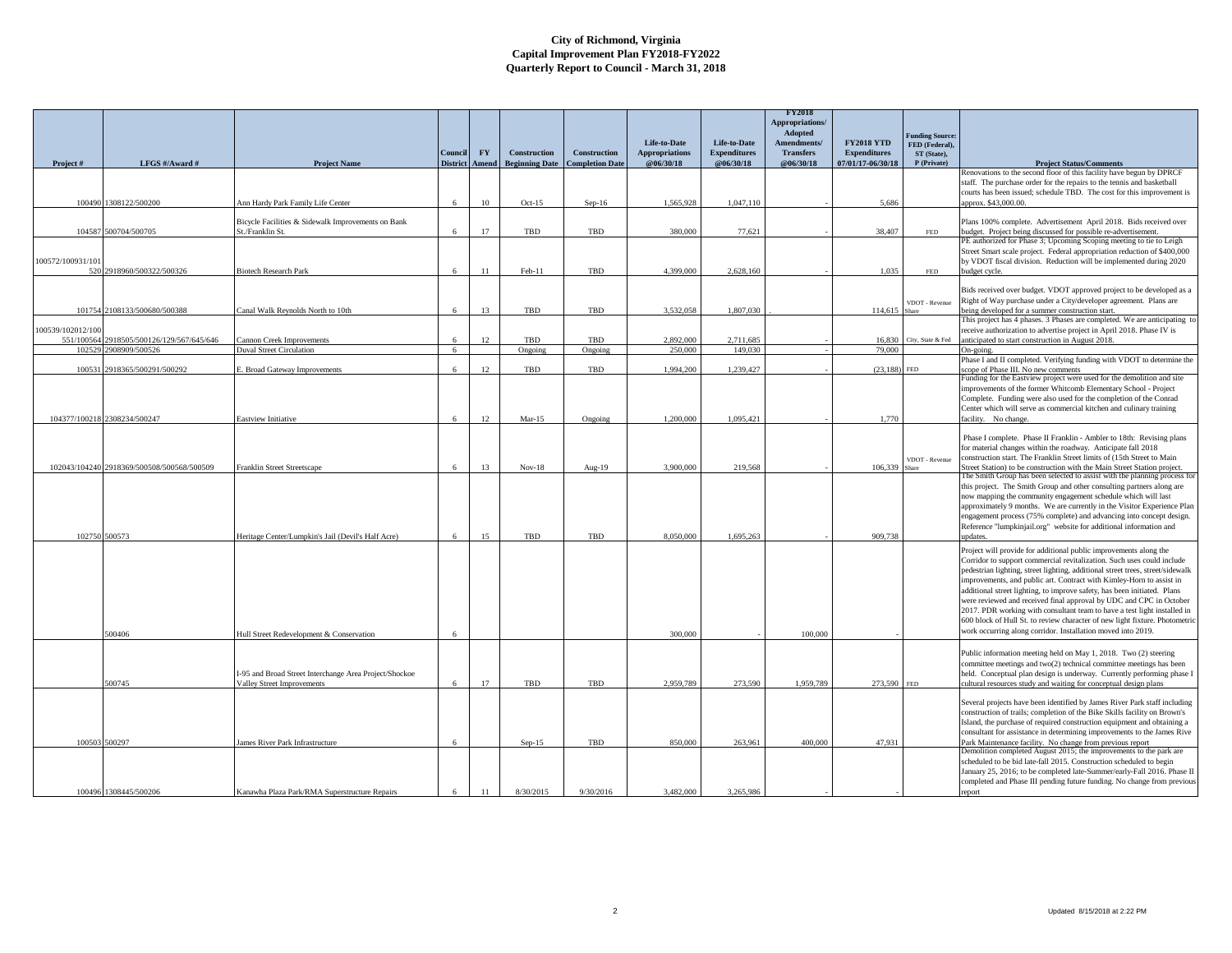|                   |                                            |                                                                                      |                            |           |                                              |                                               |                                    |                                  | <b>FY2018</b><br>Appropriations/<br>Adopted |                                          |                                   |                                                                                                                                                          |
|-------------------|--------------------------------------------|--------------------------------------------------------------------------------------|----------------------------|-----------|----------------------------------------------|-----------------------------------------------|------------------------------------|----------------------------------|---------------------------------------------|------------------------------------------|-----------------------------------|----------------------------------------------------------------------------------------------------------------------------------------------------------|
|                   |                                            |                                                                                      |                            |           |                                              |                                               | Life-to-Date                       | <b>Life-to-Date</b>              | Amendments/                                 | <b>FY2018 YTD</b>                        | Junding Source:<br>FED (Federal), |                                                                                                                                                          |
|                   | LFGS #/Award #                             |                                                                                      | Council<br><b>District</b> | <b>FY</b> | <b>Construction</b><br><b>Beginning Date</b> | <b>Construction</b><br><b>Completion Date</b> | <b>Appropriations</b><br>@06/30/18 | <b>Expenditures</b><br>@06/30/18 | <b>Transfers</b><br>@06/30/18               | <b>Expenditures</b><br>07/01/17-06/30/18 | ST (State),<br>P (Private)        | <b>Project Status/Comments</b>                                                                                                                           |
| Project#          |                                            | <b>Project Name</b>                                                                  |                            | Amend     |                                              |                                               |                                    |                                  |                                             |                                          |                                   | Renovations to the second floor of this facility have begun by DPRCF                                                                                     |
|                   |                                            |                                                                                      |                            |           |                                              |                                               |                                    |                                  |                                             |                                          |                                   | staff. The purchase order for the repairs to the tennis and basketball                                                                                   |
| 100490            | 1308122/500200                             | Ann Hardy Park Family Life Center                                                    | 6                          | 10        | $Oct-15$                                     | $Sep-16$                                      | 1,565,928                          | 1,047,110                        |                                             | 5.686                                    |                                   | courts has been issued; schedule TBD. The cost for this improvement is<br>(pprox. \$43,000.00.                                                           |
|                   |                                            |                                                                                      |                            |           |                                              |                                               |                                    |                                  |                                             |                                          |                                   |                                                                                                                                                          |
| 104587            | 500704/500705                              | Bicycle Facilities & Sidewalk Improvements on Bank<br>St./Franklin St.               | 6                          | 17        | TBD                                          | TBD                                           | 380,000                            | 77.621                           |                                             | 38,407                                   | FED                               | Plans 100% complete. Advertisement April 2018. Bids received over<br>budget. Project being discussed for possible re-advertisement.                      |
|                   |                                            |                                                                                      |                            |           |                                              |                                               |                                    |                                  |                                             |                                          |                                   | PE authorized for Phase 3; Upcoming Scoping meeting to tie to Leigh                                                                                      |
| 100572/100931/101 |                                            |                                                                                      |                            |           |                                              |                                               |                                    |                                  |                                             |                                          |                                   | Street Smart scale project. Federal appropriation reduction of \$400,000<br>by VDOT fiscal division. Reduction will be implemented during 2020           |
|                   | 520 2918960/500322/500326                  | <b>Biotech Research Park</b>                                                         | 6                          | 11        | Feb-11                                       | TBD                                           | 4,399,000                          | 2.628.160                        |                                             | 1.035                                    | FED                               | budget cycle.                                                                                                                                            |
|                   |                                            |                                                                                      |                            |           |                                              |                                               |                                    |                                  |                                             |                                          |                                   | Bids received over budget. VDOT approved project to be developed as a                                                                                    |
|                   |                                            |                                                                                      |                            |           |                                              |                                               |                                    |                                  |                                             |                                          | VDOT - Revenue                    | Right of Way purchase under a City/developer agreement. Plans are                                                                                        |
| 101754            | 2108133/500680/500388                      | Canal Walk Reynolds North to 10th                                                    | 6                          | 13        | TBD                                          | TBD                                           | 3.532.058                          | 1,807,030                        |                                             | 114,615                                  | <b>Share</b>                      | being developed for a summer construction start.                                                                                                         |
| 100539/102012/100 |                                            |                                                                                      |                            |           |                                              |                                               |                                    |                                  |                                             |                                          |                                   | This project has 4 phases. 3 Phases are completed. We are anticipating to<br>receive authorization to advertise project in April 2018. Phase IV is       |
| 551/100564        | 2918505/500126/129/567/645/646             | Cannon Creek Improvements                                                            | 6                          | 12        | TBD                                          | TBD                                           | 2.892.000                          | 2.711.685                        |                                             | 16.830                                   | City, State & Fed                 | anticipated to start construction in August 2018.                                                                                                        |
| 102529            | 2908909/500526                             | <b>Duval Street Circulation</b>                                                      | $6\overline{6}$            |           | Ongoing                                      | Ongoing                                       | 250,000                            | 149.030                          |                                             | 79,000                                   |                                   | On-going.<br>Phase I and II completed. Verifying funding with VDOT to determine the                                                                      |
| 100531            | 2918365/500291/500292                      | . Broad Gateway Improvements                                                         | 6                          | 12        | TBD                                          | TBD                                           | 1,994,200                          | 1,239,427                        |                                             | (23, 188)                                | <b>FED</b>                        | cope of Phase III. No new comments                                                                                                                       |
|                   |                                            |                                                                                      |                            |           |                                              |                                               |                                    |                                  |                                             |                                          |                                   | Funding for the Eastview project were used for the demolition and site<br>improvements of the former Whitcomb Elementary School - Project                |
|                   |                                            |                                                                                      |                            |           |                                              |                                               |                                    |                                  |                                             |                                          |                                   | Complete. Funding were also used for the completion of the Conrad                                                                                        |
|                   | 104377/100218 2308234/500247               | <b>Eastview Initiative</b>                                                           | 6                          | 12        | $Mar-15$                                     | Ongoing                                       | 1,200,000                          | 1.095.421                        |                                             | 1,770                                    |                                   | Center which will serve as commercial kitchen and culinary training<br>facility. No change.                                                              |
|                   |                                            |                                                                                      |                            |           |                                              |                                               |                                    |                                  |                                             |                                          |                                   |                                                                                                                                                          |
|                   |                                            |                                                                                      |                            |           |                                              |                                               |                                    |                                  |                                             |                                          |                                   | Phase I complete. Phase II Franklin - Ambler to 18th: Revising plans                                                                                     |
|                   |                                            |                                                                                      |                            |           |                                              |                                               |                                    |                                  |                                             |                                          | VDOT - Revenue                    | for material changes within the roadway. Anticipate fall 2018<br>construction start. The Franklin Street limits of (15th Street to Main                  |
|                   | 102043/104240 2918369/500508/500568/500509 | Franklin Street Streetscape                                                          |                            | 13        | $Nov-18$                                     | Aug-19                                        | 3,900,000                          | 219.568                          |                                             | 106.339                                  | Share                             | Street Station) to be construction with the Main Street Station project                                                                                  |
|                   |                                            |                                                                                      |                            |           |                                              |                                               |                                    |                                  |                                             |                                          |                                   | The Smith Group has been selected to assist with the planning process for<br>this project. The Smith Group and other consulting partners along are       |
|                   |                                            |                                                                                      |                            |           |                                              |                                               |                                    |                                  |                                             |                                          |                                   | now mapping the community engagement schedule which will last                                                                                            |
|                   |                                            |                                                                                      |                            |           |                                              |                                               |                                    |                                  |                                             |                                          |                                   | approximately 9 months. We are currently in the Visitor Experience Plan<br>engagement process (75% complete) and advancing into concept design.          |
|                   |                                            |                                                                                      |                            |           |                                              |                                               |                                    |                                  |                                             |                                          |                                   | Reference "lumpkinjail.org" website for additional information and                                                                                       |
|                   | 102750 500573                              | Heritage Center/Lumpkin's Jail (Devil's Half Acre)                                   | 6                          | 15        | TBD                                          | TBD                                           | 8,050,000                          | 1.695.263                        |                                             | 909,738                                  |                                   | updates.                                                                                                                                                 |
|                   |                                            |                                                                                      |                            |           |                                              |                                               |                                    |                                  |                                             |                                          |                                   | Project will provide for additional public improvements along the                                                                                        |
|                   |                                            |                                                                                      |                            |           |                                              |                                               |                                    |                                  |                                             |                                          |                                   | Corridor to support commercial revitalization. Such uses could include<br>pedestrian lighting, street lighting, additional street trees, street/sidewalk |
|                   |                                            |                                                                                      |                            |           |                                              |                                               |                                    |                                  |                                             |                                          |                                   | improvements, and public art. Contract with Kimley-Horn to assist in                                                                                     |
|                   |                                            |                                                                                      |                            |           |                                              |                                               |                                    |                                  |                                             |                                          |                                   | additional street lighting, to improve safety, has been initiated. Plans<br>were reviewed and received final approval by UDC and CPC in October          |
|                   |                                            |                                                                                      |                            |           |                                              |                                               |                                    |                                  |                                             |                                          |                                   | 2017. PDR working with consultant team to have a test light installed in                                                                                 |
|                   |                                            |                                                                                      |                            |           |                                              |                                               |                                    |                                  |                                             |                                          |                                   | 600 block of Hull St. to review character of new light fixture. Photometric                                                                              |
|                   | 500406                                     | Hull Street Redevelopment & Conservation                                             | 6                          |           |                                              |                                               | 300,000                            |                                  | 100,000                                     |                                          |                                   | work occurring along corridor. Installation moved into 2019.                                                                                             |
|                   |                                            |                                                                                      |                            |           |                                              |                                               |                                    |                                  |                                             |                                          |                                   | Public information meeting held on May 1, 2018. Two (2) steering                                                                                         |
|                   |                                            |                                                                                      |                            |           |                                              |                                               |                                    |                                  |                                             |                                          |                                   | committee meetings and two(2) technical committee meetings has been                                                                                      |
|                   | 600745                                     | I-95 and Broad Street Interchange Area Project/Shockoe<br>Valley Street Improvements |                            | 17        | TBD                                          | TBD                                           | 2.959.789                          | 273.590                          | 1.959.789                                   | 273.590 FED                              |                                   | held. Conceptual plan design is underway. Currently performing phase I<br>cultural resources study and waiting for conceptual design plans               |
|                   |                                            |                                                                                      |                            |           |                                              |                                               |                                    |                                  |                                             |                                          |                                   |                                                                                                                                                          |
|                   |                                            |                                                                                      |                            |           |                                              |                                               |                                    |                                  |                                             |                                          |                                   | Several projects have been identified by James River Park staff including<br>construction of trails; completion of the Bike Skills facility on Brown's   |
|                   |                                            |                                                                                      |                            |           |                                              |                                               |                                    |                                  |                                             |                                          |                                   | Island, the purchase of required construction equipment and obtaining a                                                                                  |
|                   | 100503 500297                              | James River Park Infrastructure                                                      | 6                          |           | $Sep-15$                                     | TBD                                           | 850,000                            | 263,961                          | 400,000                                     | 47,931                                   |                                   | consultant for assistance in determining improvements to the James Rive<br>Park Maintenance facility. No change from previous report                     |
|                   |                                            |                                                                                      |                            |           |                                              |                                               |                                    |                                  |                                             |                                          |                                   | Demolition completed August 2015; the improvements to the park are                                                                                       |
|                   |                                            |                                                                                      |                            |           |                                              |                                               |                                    |                                  |                                             |                                          |                                   | scheduled to be bid late-fall 2015. Construction scheduled to begin<br>January 25, 2016; to be completed late-Summer/early-Fall 2016. Phase II           |
|                   |                                            |                                                                                      |                            |           |                                              |                                               |                                    |                                  |                                             |                                          |                                   | completed and Phase III pending future funding. No change from previous                                                                                  |
|                   | 100496 1308445/500206                      | Kanawha Plaza Park/RMA Superstructure Repairs                                        |                            | 11        | 8/30/2015                                    | 9/30/2016                                     | 3,482,000                          | 3,265,986                        |                                             |                                          |                                   | report                                                                                                                                                   |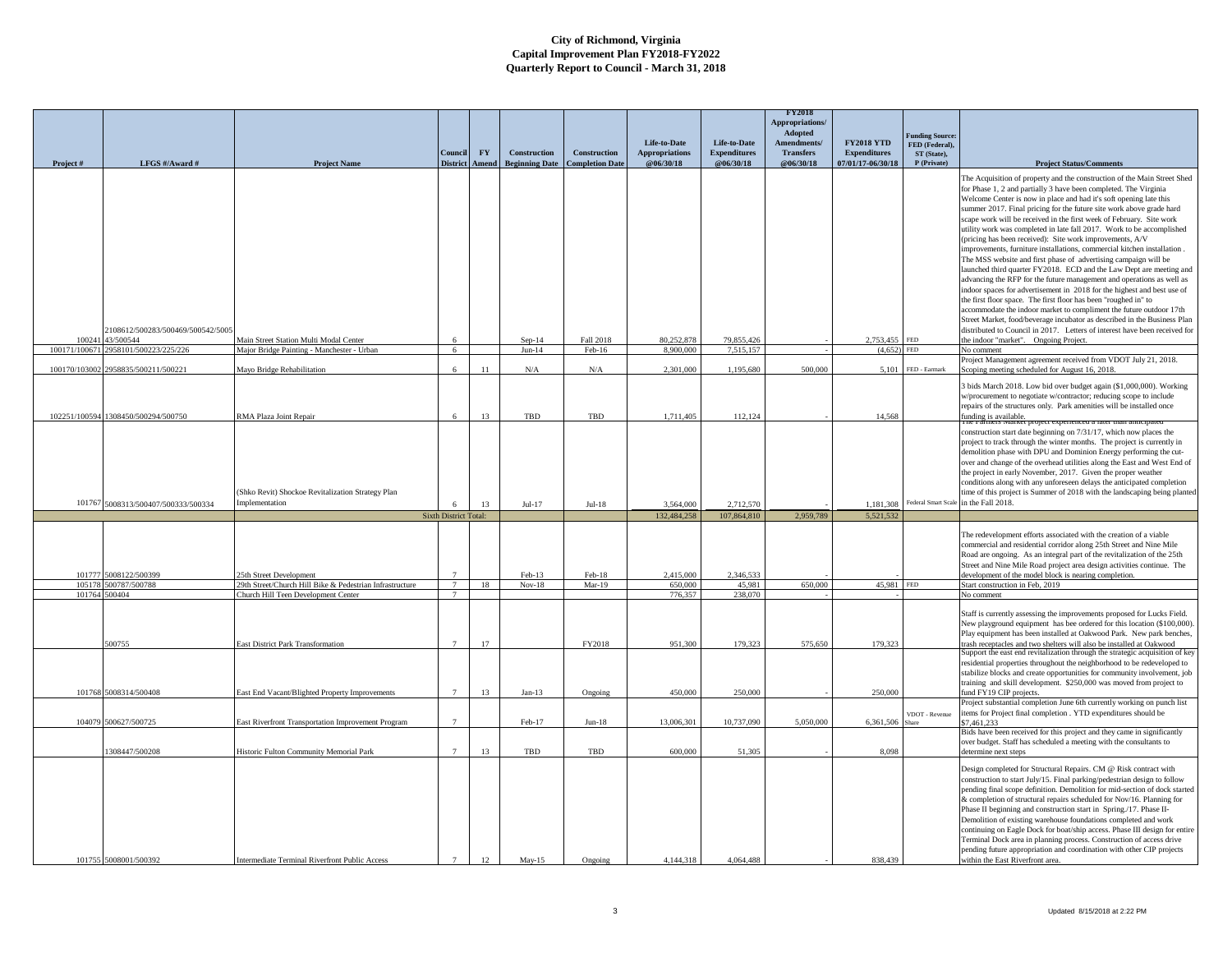|                 |                                     |                                                                                                 | Conneil                      | ${\bf F}{\bf Y}$ | Construction          | Construction           | Life-to-Date<br><b>Appropriations</b> | Life-to-Date<br><b>Expenditures</b> | <b>FY2018</b><br>Appropriations/<br>Adopted<br>Amendments/<br><b>Transfers</b> | <b>FY2018 YTD</b><br><b>Expenditures</b> | <b>Funding Source:</b><br>FED (Federal),<br>ST (State), |                                                                                                                                                                                                                                                                                                                                                                                                                                                                                                                                                                                                                                                                                                                                                                                                                                                                                                                                                                                                                                                                                                                                                                                     |
|-----------------|-------------------------------------|-------------------------------------------------------------------------------------------------|------------------------------|------------------|-----------------------|------------------------|---------------------------------------|-------------------------------------|--------------------------------------------------------------------------------|------------------------------------------|---------------------------------------------------------|-------------------------------------------------------------------------------------------------------------------------------------------------------------------------------------------------------------------------------------------------------------------------------------------------------------------------------------------------------------------------------------------------------------------------------------------------------------------------------------------------------------------------------------------------------------------------------------------------------------------------------------------------------------------------------------------------------------------------------------------------------------------------------------------------------------------------------------------------------------------------------------------------------------------------------------------------------------------------------------------------------------------------------------------------------------------------------------------------------------------------------------------------------------------------------------|
| Project#        | LFGS #/Award #                      | <b>Project Name</b>                                                                             | <b>District</b>              | A mend           | <b>Beginning Date</b> | <b>Completion Date</b> | @06/30/18                             | @06/30/18                           | @06/30/18                                                                      | 07/01/17-06/30/18                        | P (Private)                                             | <b>Project Status/Comments</b>                                                                                                                                                                                                                                                                                                                                                                                                                                                                                                                                                                                                                                                                                                                                                                                                                                                                                                                                                                                                                                                                                                                                                      |
|                 | 2108612/500283/500469/500542/5005   |                                                                                                 |                              |                  |                       |                        |                                       |                                     |                                                                                |                                          |                                                         | The Acquisition of property and the construction of the Main Street Shed<br>for Phase 1, 2 and partially 3 have been completed. The Virginia<br>Welcome Center is now in place and had it's soft opening late this<br>summer 2017. Final pricing for the future site work above grade hard<br>scape work will be received in the first week of February. Site work<br>utility work was completed in late fall 2017. Work to be accomplished<br>(pricing has been received): Site work improvements, A/V<br>improvements, furniture installations, commercial kitchen installation<br>The MSS website and first phase of advertising campaign will be<br>launched third quarter FY2018. ECD and the Law Dept are meeting and<br>advancing the RFP for the future management and operations as well as<br>indoor spaces for advertisement in 2018 for the highest and best use of<br>the first floor space. The first floor has been "roughed in" to<br>accommodate the indoor market to compliment the future outdoor 17th<br>Street Market, food/beverage incubator as described in the Business Plan<br>distributed to Council in 2017. Letters of interest have been received for |
| 10024           | 43/500544                           | Main Street Station Multi Modal Center                                                          |                              |                  | Sep-14                | Fall 2018              | 80,252,878                            | 79.855.426                          |                                                                                | 2.753.455                                | <b>FED</b>                                              | the indoor "market". Ongoing Project.                                                                                                                                                                                                                                                                                                                                                                                                                                                                                                                                                                                                                                                                                                                                                                                                                                                                                                                                                                                                                                                                                                                                               |
| 100171/100671   | 2958101/500223/225/226              | Major Bridge Painting - Manchester - Urban                                                      | $6\overline{6}$              |                  | $Jun-14$              | $Feb-16$               | 8.900.000                             | 7.515.157                           |                                                                                | (4.652)                                  | <b>FED</b>                                              | No comment                                                                                                                                                                                                                                                                                                                                                                                                                                                                                                                                                                                                                                                                                                                                                                                                                                                                                                                                                                                                                                                                                                                                                                          |
| 100170/103002   | 2958835/500211/500221               | Mayo Bridge Rehabilitation                                                                      |                              | 11               | $\rm N/A$             | $\rm N/A$              | 2,301,000                             | 1,195,680                           | 500,000                                                                        | 5,101                                    | FED - Earmark                                           | Project Management agreement received from VDOT July 21, 2018.<br>Scoping meeting scheduled for August 16, 2018.                                                                                                                                                                                                                                                                                                                                                                                                                                                                                                                                                                                                                                                                                                                                                                                                                                                                                                                                                                                                                                                                    |
|                 | 102251/100594 1308450/500294/500750 | RMA Plaza Joint Repair                                                                          | 6                            | 13               | <b>TBD</b>            | TBD                    | 1,711,405                             | 112,124                             |                                                                                | 14.568                                   |                                                         | 3 bids March 2018. Low bid over budget again (\$1,000,000). Working<br>w/procurement to negotiate w/contractor; reducing scope to include<br>repairs of the structures only. Park amenities will be installed once<br>funding is available.<br>The Farmers Market pro                                                                                                                                                                                                                                                                                                                                                                                                                                                                                                                                                                                                                                                                                                                                                                                                                                                                                                               |
| 101767          | 5008313/500407/500333/500334        | (Shko Revit) Shockoe Revitalization Strategy Plan<br>Implementation                             | 6                            | 13               | $Jul-17$              | $Jul-18$               | 3,564,000                             | 2.712.570                           |                                                                                | 1.181.308                                |                                                         | construction start date beginning on 7/31/17, which now places the<br>project to track through the winter months. The project is currently in<br>demolition phase with DPU and Dominion Energy performing the cut-<br>over and change of the overhead utilities along the East and West End of<br>the project in early November, 2017. Given the proper weather<br>conditions along with any unforeseen delays the anticipated completion<br>time of this project is Summer of 2018 with the landscaping being planted<br>Federal Smart Scale in the Fall 2018.                                                                                                                                                                                                                                                                                                                                                                                                                                                                                                                                                                                                                     |
|                 |                                     |                                                                                                 | <b>Sixth District Total:</b> |                  |                       |                        | 132,484,258                           | 107,864,810                         | 2,959,789                                                                      | 5,521,532                                |                                                         |                                                                                                                                                                                                                                                                                                                                                                                                                                                                                                                                                                                                                                                                                                                                                                                                                                                                                                                                                                                                                                                                                                                                                                                     |
| 101777          | 5008122/500399                      | 5th Street Development                                                                          |                              |                  | $Feh-13$              | $Feh-18$               | 2.415.000                             | 2.346.533                           |                                                                                |                                          |                                                         | The redevelopment efforts associated with the creation of a viable<br>commercial and residential corridor along 25th Street and Nine Mile<br>Road are ongoing. As an integral part of the revitalization of the 25th<br>Street and Nine Mile Road project area design activities continue. The<br>development of the model block is nearing completion.                                                                                                                                                                                                                                                                                                                                                                                                                                                                                                                                                                                                                                                                                                                                                                                                                             |
| 10517<br>101764 | 500787/500788<br>500404             | 29th Street/Church Hill Bike & Pedestrian Infrastructure<br>Church Hill Teen Development Center | $\tau$<br>$\tau$             | 18               | $Nov-18$              | $Mar-19$               | 650,000<br>776.357                    | 45,981<br>238,070                   | 650,000                                                                        | 45.981 FED                               |                                                         | Start construction in Feb, 2019<br>No comment                                                                                                                                                                                                                                                                                                                                                                                                                                                                                                                                                                                                                                                                                                                                                                                                                                                                                                                                                                                                                                                                                                                                       |
|                 | 500755                              | East District Park Transformation                                                               | $\overline{7}$               | 17               |                       | FY2018                 | 951.300                               | 179.323                             | 575,650                                                                        | 179,323                                  |                                                         | Staff is currently assessing the improvements proposed for Lucks Field.<br>New playground equipment has bee ordered for this location (\$100,000).<br>Play equipment has been installed at Oakwood Park. New park benches,<br>trash receptacles and two shelters will also be installed at Oakwood<br>Support the east end revitalization through the strategic acquisition of key<br>residential properties throughout the neighborhood to be redeveloped to                                                                                                                                                                                                                                                                                                                                                                                                                                                                                                                                                                                                                                                                                                                       |
| 101768          | 6008314/500408                      | East End Vacant/Blighted Property Improvements                                                  |                              | 13               | $Jan-13$              | Ongoing                | 450,000                               | 250,000                             |                                                                                | 250,000                                  |                                                         | stabilize blocks and create opportunities for community involvement, job<br>training and skill development. \$250,000 was moved from project to<br>fund FY19 CIP projects.<br>Project substantial completion June 6th currently working on punch list                                                                                                                                                                                                                                                                                                                                                                                                                                                                                                                                                                                                                                                                                                                                                                                                                                                                                                                               |
| 104079          | 500627/500725                       | East Riverfront Transportation Improvement Program                                              | $\overline{7}$               |                  | Feb-17                | $Jun-18$               | 13,006,301                            | 10,737,090                          | 5,050,000                                                                      | 6,361,506                                | /DOT - Revenue                                          | items for Project final completion . YTD expenditures should be<br>\$7,461,233<br>Bids have been received for this project and they came in significantly                                                                                                                                                                                                                                                                                                                                                                                                                                                                                                                                                                                                                                                                                                                                                                                                                                                                                                                                                                                                                           |
|                 | 308447/500208                       | Historic Fulton Community Memorial Park                                                         | $\overline{7}$               | 13               | TBD                   | TBD                    | 600,000                               | 51,305                              |                                                                                | 8.098                                    |                                                         | over budget. Staff has scheduled a meeting with the consultants to<br>letermine next steps                                                                                                                                                                                                                                                                                                                                                                                                                                                                                                                                                                                                                                                                                                                                                                                                                                                                                                                                                                                                                                                                                          |
|                 | 101755 5008001/500392               | Intermediate Terminal Riverfront Public Access                                                  | $\overline{7}$               | 12               | $Mav-15$              | Ongoing                | 4.144.318                             | 4.064.488                           |                                                                                | 838,439                                  |                                                         | Design completed for Structural Repairs. CM @ Risk contract with<br>construction to start July/15. Final parking/pedestrian design to follow<br>pending final scope definition. Demolition for mid-section of dock started<br>& completion of structural repairs scheduled for Nov/16. Planning for<br>Phase II beginning and construction start in Spring./17. Phase II-<br>Demolition of existing warehouse foundations completed and work<br>continuing on Eagle Dock for boat/ship access. Phase III design for entire<br>Terminal Dock area in planning process. Construction of access drive<br>pending future appropriation and coordination with other CIP projects<br>within the East Riverfront area.                                                                                                                                                                                                                                                                                                                                                                                                                                                                     |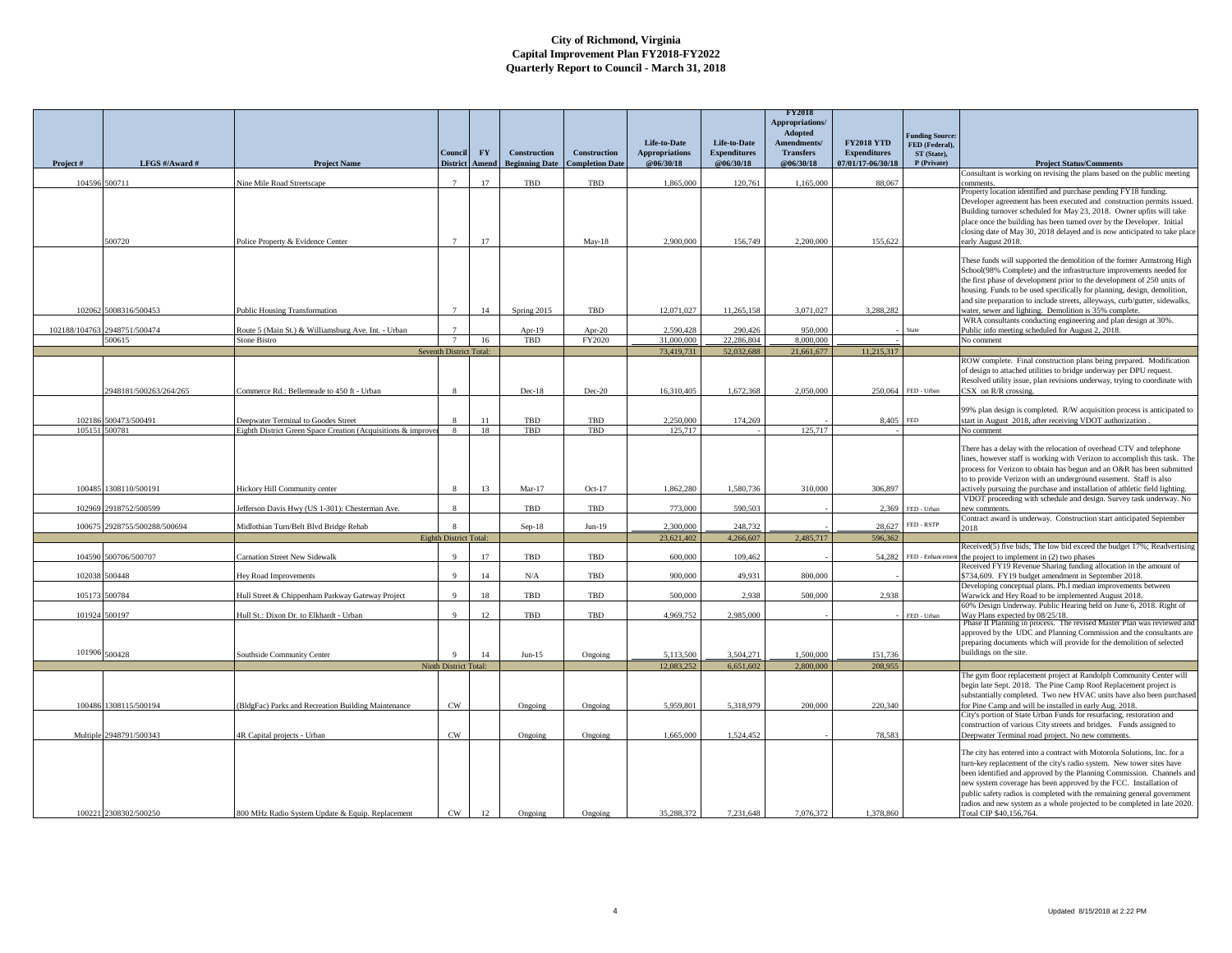|               |                          |                                                                            |                         |           |                       |                        |                                              |                                     | <b>FY2018</b><br>Appropriations/<br>Adopted |                                          |                                  |                                                                                                                                                   |
|---------------|--------------------------|----------------------------------------------------------------------------|-------------------------|-----------|-----------------------|------------------------|----------------------------------------------|-------------------------------------|---------------------------------------------|------------------------------------------|----------------------------------|---------------------------------------------------------------------------------------------------------------------------------------------------|
|               |                          |                                                                            | Connei                  | <b>FY</b> | <b>Construction</b>   | <b>Construction</b>    | <b>Life-to-Date</b><br><b>Appropriations</b> | Life-to-Date<br><b>Expenditures</b> | Amendments/<br><b>Transfers</b>             | <b>FY2018 YTD</b><br><b>Expenditures</b> | unding Source:<br>FED (Federal), |                                                                                                                                                   |
| Project#      | LFGS #/Award #           | <b>Project Name</b>                                                        | <b>District</b>         | Amend     | <b>Beginning Date</b> | <b>Completion Date</b> | @06/30/18                                    | @06/30/18                           | @06/30/18                                   | 07/01/17-06/30/18                        | ST (State),<br>P (Private)       | <b>Project Status/Comments</b>                                                                                                                    |
| 104596        | 500711                   | Nine Mile Road Streetscape                                                 |                         | 17        | TBD                   | TBD                    | 1,865,000                                    | 120,761                             | 1,165,000                                   | 88,067                                   |                                  | onsultant is working on revising the plans based on the public meeting<br>omments                                                                 |
|               |                          |                                                                            |                         |           |                       |                        |                                              |                                     |                                             |                                          |                                  | roperty location identified and purchase pending FY18 funding.                                                                                    |
|               |                          |                                                                            |                         |           |                       |                        |                                              |                                     |                                             |                                          |                                  | Developer agreement has been executed and construction permits issued.<br>Building turnover scheduled for May 23, 2018. Owner upfits will take    |
|               |                          |                                                                            |                         |           |                       |                        |                                              |                                     |                                             |                                          |                                  | place once the building has been turned over by the Developer. Initial                                                                            |
|               |                          |                                                                            |                         |           |                       |                        |                                              |                                     |                                             |                                          |                                  | closing date of May 30, 2018 delayed and is now anticipated to take place                                                                         |
|               | 500720                   | Police Property & Evidence Center                                          |                         | 17        |                       | $May-18$               | 2,900,000                                    | 156,749                             | 2,200,000                                   | 155,622                                  |                                  | early August 2018.                                                                                                                                |
|               |                          |                                                                            |                         |           |                       |                        |                                              |                                     |                                             |                                          |                                  | These funds will supported the demolition of the former Armstrong High                                                                            |
|               |                          |                                                                            |                         |           |                       |                        |                                              |                                     |                                             |                                          |                                  | School(98% Complete) and the infrastructure improvements needed for<br>the first phase of development prior to the development of 250 units of    |
|               |                          |                                                                            |                         |           |                       |                        |                                              |                                     |                                             |                                          |                                  | housing. Funds to be used specifically for planning, design, demolition,                                                                          |
| 102062        | 5008316/500453           | <b>Public Housing Transformation</b>                                       |                         | 14        | Spring 2015           | TBD                    | 12,071,027                                   | 11,265,158                          | 3,071,027                                   | 3,288,282                                |                                  | and site preparation to include streets, alleyways, curb/gutter, sidewalks,<br>water, sewer and lighting. Demolition is 35% complete.             |
|               |                          |                                                                            |                         |           |                       |                        |                                              |                                     |                                             |                                          |                                  | WRA consultants conducting engineering and plan design at 30%.                                                                                    |
| 102188/104762 | 2948751/500474<br>500615 | Route 5 (Main St.) & Williamsburg Ave. Int. - Urban<br><b>Stone Bistro</b> |                         | 16        | Apr-19<br>TBD         | Apr-20<br>FY2020       | 2.590.428<br>31,000,000                      | 290,426<br>22.286.804               | 950,000<br>8,000,000                        |                                          |                                  | Public info meeting scheduled for August 2, 2018.<br>No comment                                                                                   |
|               |                          |                                                                            | Seventh District Total: |           |                       |                        | 73.419.731                                   | 52,032,688                          | 21,661,677                                  | 11,215,317                               |                                  |                                                                                                                                                   |
|               |                          |                                                                            |                         |           |                       |                        |                                              |                                     |                                             |                                          |                                  | ROW complete. Final construction plans being prepared. Modification                                                                               |
|               |                          |                                                                            |                         |           |                       |                        |                                              |                                     |                                             |                                          |                                  | of design to attached utilities to bridge underway per DPU request.<br>Resolved utility issue, plan revisions underway, trying to coordinate with |
|               | 2948181/500263/264/265   | Commerce Rd.: Bellemeade to 450 ft - Urban                                 |                         |           | $Dec-18$              | Dec-20                 | 16.310.405                                   | 1.672.368                           | 2,050,000                                   |                                          | 250,064 FED - Urban              | CSX on R/R crossing.                                                                                                                              |
|               |                          |                                                                            |                         |           |                       |                        |                                              |                                     |                                             |                                          |                                  | 99% plan design is completed. R/W acquisition process is anticipated to                                                                           |
| 102186        | 500473/500491            | Deepwater Terminal to Goodes Street                                        |                         | 11        | TBD                   | TBD                    | 2.250.000                                    | 174,269                             |                                             | 8,405                                    | <b>FFD</b>                       | start in August 2018, after receiving VDOT authorization                                                                                          |
| 105151        | 500781                   | Eighth District Green Space Creation (Acquisitions & improve               | 8                       | 18        | TBD                   | TBD                    | 125,717                                      |                                     | 125.717                                     |                                          |                                  | No comment                                                                                                                                        |
|               |                          |                                                                            |                         |           |                       |                        |                                              |                                     |                                             |                                          |                                  | There has a delay with the relocation of overhead CTV and telephone                                                                               |
|               |                          |                                                                            |                         |           |                       |                        |                                              |                                     |                                             |                                          |                                  | lines, however staff is working with Verizon to accomplish this task. The                                                                         |
|               |                          |                                                                            |                         |           |                       |                        |                                              |                                     |                                             |                                          |                                  | process for Verizon to obtain has begun and an O&R has been submitted<br>to to provide Verizon with an underground easement. Staff is also        |
| 100485        | 1308110/500191           | <b>Hickory Hill Community center</b>                                       |                         | 13        | $Mar-17$              | $Oct-17$               | 1.862.280                                    | 1.580.736                           | 310,000                                     | 306,897                                  |                                  | actively pursuing the purchase and installation of athletic field lighting.                                                                       |
| 102969        | 918752/500599            | efferson Davis Hwy (US 1-301): Chesterman Ave.                             |                         |           | TBD                   | TBD                    | 773,000                                      | 590,503                             |                                             |                                          | 2,369 FED - Urban                | VDOT proceeding with schedule and design. Survey task underway. No<br>new comments                                                                |
| 100675        | 2928755/500288/500694    | Midlothian Turn/Belt Blvd Bridge Rehab                                     | $\mathbf{\hat{x}}$      |           |                       | $Jun-19$               | 2,300,000                                    | 248,732                             |                                             | 28.627                                   | FED - RSTP                       | Contract award is underway. Construction start anticipated September                                                                              |
|               |                          |                                                                            | Eighth District Total:  |           | $Sep-18$              |                        | 23.621.402                                   | 4.266.607                           | 2,485,717                                   | 596.362                                  |                                  | 018                                                                                                                                               |
|               |                          |                                                                            | $\Omega$                |           |                       |                        |                                              |                                     |                                             |                                          |                                  | Received(5) five bids; The low bid exceed the budget 17%; Readvertising                                                                           |
| 104590        | 500706/500707            | Carnation Street New Sidewalk                                              |                         | 17        | TBD                   | TBD                    | 600,000                                      | 109,462                             |                                             |                                          | 54,282 FED - Enhancement         | the project to implement in (2) two phases<br>Received FY19 Revenue Sharing funding allocation in the amount of                                   |
| 102038        | 500448                   | Hey Road Improvements                                                      | $\mathbf{Q}$            | 14        | N/A                   | TBD                    | 900.000                                      | 49.931                              | 800.000                                     |                                          |                                  | \$734,609. FY19 budget amendment in September 2018.                                                                                               |
| 105172        | 500784                   | Hull Street & Chippenham Parkway Gateway Project                           | $\mathbf{Q}$            | 18        | TBD                   | TBD                    | 500,000                                      | 2.938                               | 500,000                                     | 2.938                                    |                                  | Developing conceptual plans. Ph.I median improvements between<br>Warwick and Hey Road to be implemented August 2018.                              |
|               |                          |                                                                            |                         |           |                       |                        |                                              |                                     |                                             |                                          |                                  | 60% Design Underway. Public Hearing held on June 6, 2018. Right of                                                                                |
| 101924        | 500197                   | Hull St.: Dixon Dr. to Elkhardt - Urban                                    | $\mathbf{Q}$            | 12        | TBD                   | TBD                    | 4.969.752                                    | 2,985,000                           |                                             |                                          | FED - Urban                      | Way Plans expected by 08/25/18.<br>Phase II Planning in process. The revised Master 1                                                             |
|               |                          |                                                                            |                         |           |                       |                        |                                              |                                     |                                             |                                          |                                  | approved by the UDC and Planning Commission and the consultants are                                                                               |
|               | $101906$ $500428$        | Southside Community Center                                                 | $\mathbf{Q}$            | 14        | $Jun-15$              | Ongoing                | 5.113.500                                    | 3.504.271                           | 1,500,000                                   | 151.736                                  |                                  | preparing documents which will provide for the demolition of selected<br>buildings on the site.                                                   |
|               |                          |                                                                            | Ninth District Total:   |           |                       |                        | 12,083,252                                   | 6,651,602                           | 2,800,000                                   | 208,955                                  |                                  |                                                                                                                                                   |
|               |                          |                                                                            |                         |           |                       |                        |                                              |                                     |                                             |                                          |                                  | The gym floor replacement project at Randolph Community Center will                                                                               |
|               |                          |                                                                            |                         |           |                       |                        |                                              |                                     |                                             |                                          |                                  | begin late Sept. 2018. The Pine Camp Roof Replacement project is<br>substantially completed. Two new HVAC units have also been purchased          |
| 100486        | 1308115/500194           | (BldgFac) Parks and Recreation Building Maintenance                        | $\mathrm{CW}$           |           | Ongoing               | Ongoing                | 5,959,801                                    | 5,318,979                           | 200,000                                     | 220,340                                  |                                  | for Pine Camp and will be installed in early Aug. 2018.                                                                                           |
|               |                          |                                                                            |                         |           |                       |                        |                                              |                                     |                                             |                                          |                                  | City's portion of State Urban Funds for resurfacing, restoration and<br>construction of various City streets and bridges. Funds assigned to       |
| Multiple      | 2948791/500343           | 4R Capital projects - Urban                                                | CW                      |           | Ongoing               | Ongoing                | 1.665.000                                    | 1.524.452                           |                                             | 78.583                                   |                                  | Deepwater Terminal road project. No new comments                                                                                                  |
|               |                          |                                                                            |                         |           |                       |                        |                                              |                                     |                                             |                                          |                                  | The city has entered into a contract with Motorola Solutions, Inc. for a                                                                          |
|               |                          |                                                                            |                         |           |                       |                        |                                              |                                     |                                             |                                          |                                  | turn-key replacement of the city's radio system. New tower sites have                                                                             |
|               |                          |                                                                            |                         |           |                       |                        |                                              |                                     |                                             |                                          |                                  | been identified and approved by the Planning Commission. Channels and<br>new system coverage has been approved by the FCC. Installation of        |
|               |                          |                                                                            |                         |           |                       |                        |                                              |                                     |                                             |                                          |                                  | public safety radios is completed with the remaining general government                                                                           |
|               | 100221 2308302/500250    | 800 MHz Radio System Update & Equip. Replacement                           | CW                      | 12        |                       |                        | 35.288.372                                   | 7.231.648                           | 7,076,372                                   | 1.378.860                                |                                  | radios and new system as a whole projected to be completed in late 2020.<br>Total CIP \$40,156,764.                                               |
|               |                          |                                                                            |                         |           | Ongoing               | Ongoing                |                                              |                                     |                                             |                                          |                                  |                                                                                                                                                   |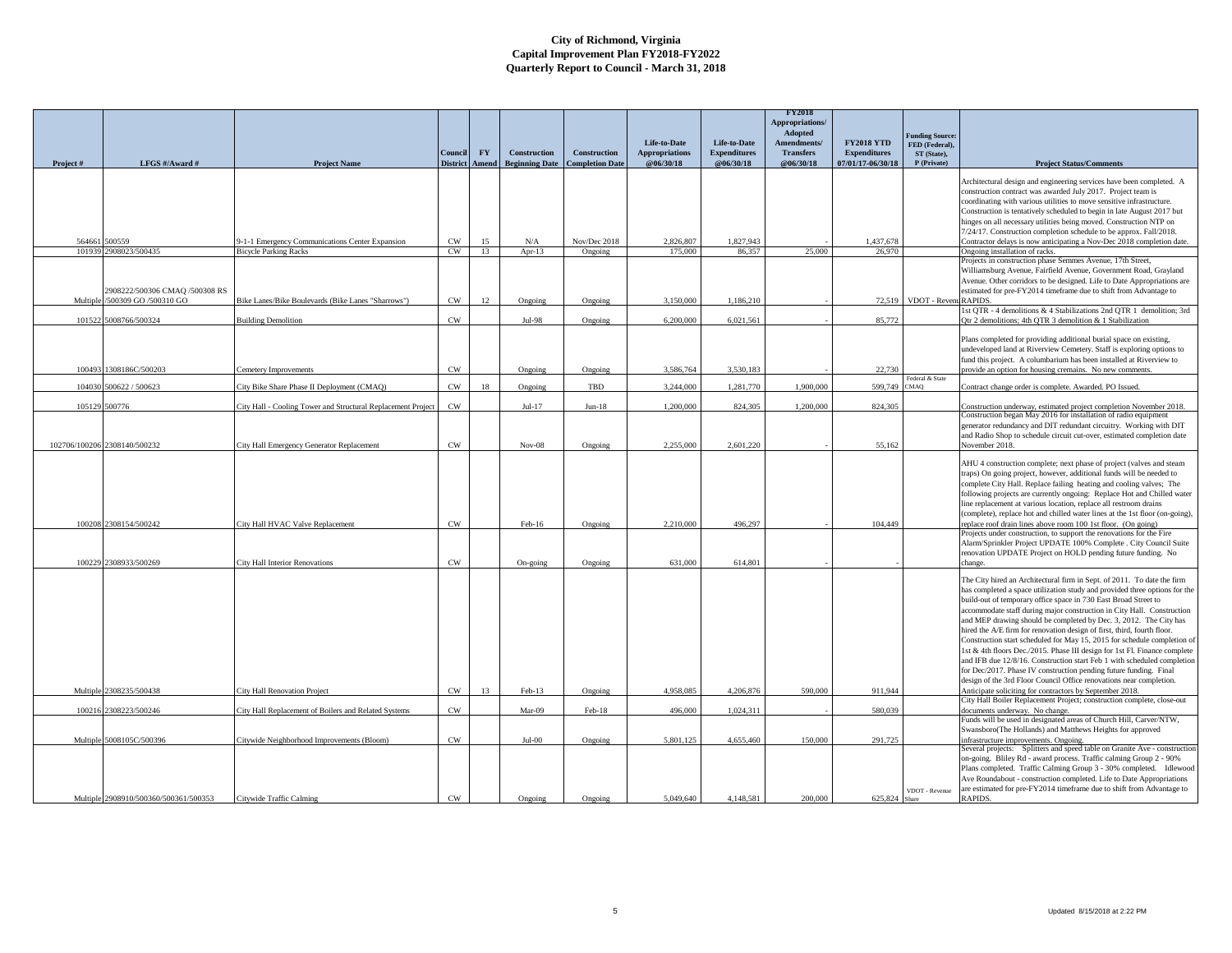|               |                                       |                                                              | Council         | FY    | Construction          | <b>Construction</b>    | Life-to-Date<br><b>Appropriations</b> | Life-to-Date<br><b>Expenditures</b> | <b>FY2018</b><br><b>Appropriations</b><br>Adopted<br>Amendments/<br><b>Transfers</b> | <b>FY2018 YTD</b><br><b>Expenditures</b> | <b>Funding Source:</b><br>FED (Federal),<br>ST (State), |                                                                                                                                                                                                                                                                                                                                                                                                                                                                                                                                                                                                                                                                                                                                                                                                                                                                                                |
|---------------|---------------------------------------|--------------------------------------------------------------|-----------------|-------|-----------------------|------------------------|---------------------------------------|-------------------------------------|--------------------------------------------------------------------------------------|------------------------------------------|---------------------------------------------------------|------------------------------------------------------------------------------------------------------------------------------------------------------------------------------------------------------------------------------------------------------------------------------------------------------------------------------------------------------------------------------------------------------------------------------------------------------------------------------------------------------------------------------------------------------------------------------------------------------------------------------------------------------------------------------------------------------------------------------------------------------------------------------------------------------------------------------------------------------------------------------------------------|
| Project#      | LFGS #/Award #                        | <b>Project Name</b>                                          | <b>District</b> | Amend | <b>Beginning Date</b> | <b>Completion Date</b> | @06/30/18                             | @06/30/18                           | @06/30/18                                                                            | 07/01/17-06/30/18                        | P (Private)                                             | <b>Project Status/Comments</b>                                                                                                                                                                                                                                                                                                                                                                                                                                                                                                                                                                                                                                                                                                                                                                                                                                                                 |
|               |                                       |                                                              |                 |       |                       |                        |                                       |                                     |                                                                                      |                                          |                                                         | Architectural design and engineering services have been completed. A<br>construction contract was awarded July 2017. Project team is<br>coordinating with various utilities to move sensitive infrastructure.<br>Construction is tentatively scheduled to begin in late August 2017 but<br>hinges on all necessary utilities being moved. Construction NTP on<br>7/24/17. Construction completion schedule to be approx. Fall/2018.                                                                                                                                                                                                                                                                                                                                                                                                                                                            |
| 564661        | 00559                                 | 9-1-1 Emergency Communications Center Expansion              | CW              | 15    | N/A                   | Nov/Dec 2018           | 2,826,807                             | 1.827.943                           |                                                                                      | 1.437.678                                |                                                         | Contractor delays is now anticipating a Nov-Dec 2018 completion date.                                                                                                                                                                                                                                                                                                                                                                                                                                                                                                                                                                                                                                                                                                                                                                                                                          |
|               | 101939 2908023/500435                 | <b>Bicycle Parking Racks</b>                                 | CW              | 13    | Apr- $13$             | Ongoing                | 175.000                               | 86,357                              | 25,000                                                                               | 26,970                                   |                                                         | Ongoing installation of racks.                                                                                                                                                                                                                                                                                                                                                                                                                                                                                                                                                                                                                                                                                                                                                                                                                                                                 |
|               | 2908222/500306 CMAQ /500308 RS        |                                                              |                 |       |                       |                        |                                       |                                     |                                                                                      |                                          | 72,519 VDOT - Revent RAPIDS.                            | Projects in construction phase Semmes Avenue, 17th Street,<br>Williamsburg Avenue, Fairfield Avenue, Government Road, Grayland<br>Avenue. Other corridors to be designed. Life to Date Appropriations are<br>estimated for pre-FY2014 timeframe due to shift from Advantage to                                                                                                                                                                                                                                                                                                                                                                                                                                                                                                                                                                                                                 |
| Multiple      | /500309 GO /500310 GO                 | Bike Lanes/Bike Boulevards (Bike Lanes "Sharrows")           | CW              | 12    | Ongoing               | Ongoing                | 3,150,000                             | 1,186,210                           |                                                                                      |                                          |                                                         | 1st QTR - 4 demolitions & 4 Stabilizations 2nd QTR 1 demolition; 3rd                                                                                                                                                                                                                                                                                                                                                                                                                                                                                                                                                                                                                                                                                                                                                                                                                           |
| 101522        | 5008766/500324                        | <b>Building Demolition</b>                                   | CW              |       | Jul-98                | Ongoing                | 6,200,000                             | 6,021,561                           |                                                                                      | 85,772                                   |                                                         | Otr 2 demolitions; 4th OTR 3 demolition & 1 Stabilization                                                                                                                                                                                                                                                                                                                                                                                                                                                                                                                                                                                                                                                                                                                                                                                                                                      |
| 100493        | 1308186C/500203                       | Cemetery Improvements                                        | CW              |       | Ongoing               | Ongoing                | 3.586.764                             | 3.530.183                           |                                                                                      | 22,730                                   | Federal & State                                         | Plans completed for providing additional burial space on existing,<br>undeveloped land at Riverview Cemetery. Staff is exploring options to<br>fund this project. A columbarium has been installed at Riverview to<br>provide an option for housing cremains. No new comments.                                                                                                                                                                                                                                                                                                                                                                                                                                                                                                                                                                                                                 |
|               | 104030 500622 / 500623                | City Bike Share Phase II Deployment (CMAQ)                   | CW              | 18    | Ongoing               | TBD                    | 3.244,000                             | 1.281.770                           | 1,900,000                                                                            | 599,749 CMAQ                             |                                                         | Contract change order is complete. Awarded. PO Issued.                                                                                                                                                                                                                                                                                                                                                                                                                                                                                                                                                                                                                                                                                                                                                                                                                                         |
| 105129 500776 |                                       | City Hall - Cooling Tower and Structural Replacement Project | CW              |       | $Jul-17$              | $Jun-18$               | 1.200.000                             | 824,305                             | 1.200,000                                                                            | 824,305                                  |                                                         | Construction underway, estimated project completion November 2018.                                                                                                                                                                                                                                                                                                                                                                                                                                                                                                                                                                                                                                                                                                                                                                                                                             |
|               | 102706/100206 2308140/500232          | City Hall Emergency Generator Replacement                    | CW              |       | $Nov-08$              | Ongoing                | 2,255,000                             | 2,601,220                           |                                                                                      | 55,162                                   |                                                         | Construction began May 2016 for installation of radio equipment<br>generator redundancy and DIT redundant circuitry. Working with DIT<br>and Radio Shop to schedule circuit cut-over, estimated completion date<br>November 2018.                                                                                                                                                                                                                                                                                                                                                                                                                                                                                                                                                                                                                                                              |
| 100208        | 2308154/500242                        | City Hall HVAC Valve Replacement                             | CW              |       | Feb-16                | Ongoing                | 2.210,000                             | 496.297                             |                                                                                      | 104,449                                  |                                                         | AHU 4 construction complete; next phase of project (valves and steam<br>traps) On going project, however, additional funds will be needed to<br>complete City Hall. Replace failing heating and cooling valves; The<br>following projects are currently ongoing: Replace Hot and Chilled water<br>line replacement at various location, replace all restroom drains<br>(complete), replace hot and chilled water lines at the 1st floor (on-going),<br>replace roof drain lines above room 100 1st floor. (On going)                                                                                                                                                                                                                                                                                                                                                                           |
|               |                                       |                                                              |                 |       |                       |                        |                                       |                                     |                                                                                      |                                          |                                                         | Projects under construction, to support the renovations for the Fire<br>Alarm/Sprinkler Project UPDATE 100% Complete . City Council Suite<br>renovation UPDATE Project on HOLD pending future funding. No                                                                                                                                                                                                                                                                                                                                                                                                                                                                                                                                                                                                                                                                                      |
| 100229        | 2308933/500269                        | <b>City Hall Interior Renovations</b>                        | $\mathrm{CW}$   |       | On-going              | Ongoing                | 631,000                               | 614,801                             |                                                                                      |                                          |                                                         |                                                                                                                                                                                                                                                                                                                                                                                                                                                                                                                                                                                                                                                                                                                                                                                                                                                                                                |
| Multiple      | 2308235/500438                        | City Hall Renovation Project                                 | CW              | 13    | $Feb-13$              | Ongoing                | 4.958.085                             | 4.206.876                           | 590,000                                                                              | 911.944                                  |                                                         | The City hired an Architectural firm in Sept. of 2011. To date the firm<br>has completed a space utilization study and provided three options for the<br>build-out of temporary office space in 730 East Broad Street to<br>accommodate staff during major construction in City Hall. Construction<br>and MEP drawing should be completed by Dec. 3, 2012. The City has<br>hired the A/E firm for renovation design of first, third, fourth floor.<br>Construction start scheduled for May 15, 2015 for schedule completion of<br>1st & 4th floors Dec./2015. Phase III design for 1st Fl. Finance complete<br>and IFB due 12/8/16. Construction start Feb 1 with scheduled completion<br>for Dec/2017. Phase IV construction pending future funding. Final<br>design of the 3rd Floor Council Office renovations near completion.<br>Anticipate soliciting for contractors by September 2018. |
|               |                                       |                                                              |                 |       |                       |                        |                                       |                                     |                                                                                      |                                          |                                                         | City Hall Boiler Replacement Project; construction complete, close-out                                                                                                                                                                                                                                                                                                                                                                                                                                                                                                                                                                                                                                                                                                                                                                                                                         |
| 100216        | 2308223/500246                        | City Hall Replacement of Boilers and Related Systems         | CW              |       | Mar-09                | Feb-18                 | 496,000                               | 1.024.311                           |                                                                                      | 580,039                                  |                                                         | documents underway. No change.<br>Funds will be used in designated areas of Church Hill, Carver/NTW,                                                                                                                                                                                                                                                                                                                                                                                                                                                                                                                                                                                                                                                                                                                                                                                           |
|               | Multiple 5008105C/500396              | Citywide Neighborhood Improvements (Bloom)                   | CW              |       | $Jul-00$              | Ongoing                | 5.801.125                             | 4,655,460                           | 150,000                                                                              | 291,725                                  |                                                         | Swansboro(The Hollands) and Matthews Heights for approved<br>infrastructure improvements. Ongoing.                                                                                                                                                                                                                                                                                                                                                                                                                                                                                                                                                                                                                                                                                                                                                                                             |
|               | Multiple 2908910/500360/500361/500353 | Citywide Traffic Calming                                     | CW              |       | Ongoing               | Ongoing                | 5,049,640                             | 4,148,581                           | 200,000                                                                              | 625,824 Share                            | VDOT - Revenue                                          | Several projects: Splitters and speed table on Granite Ave - construction<br>on-going. Bliley Rd - award process. Traffic calming Group 2 - 90%<br>Plans completed. Traffic Calming Group 3 - 30% completed. Idlewood<br>Ave Roundabout - construction completed. Life to Date Appropriations<br>are estimated for pre-FY2014 timeframe due to shift from Advantage to<br>RAPIDS.                                                                                                                                                                                                                                                                                                                                                                                                                                                                                                              |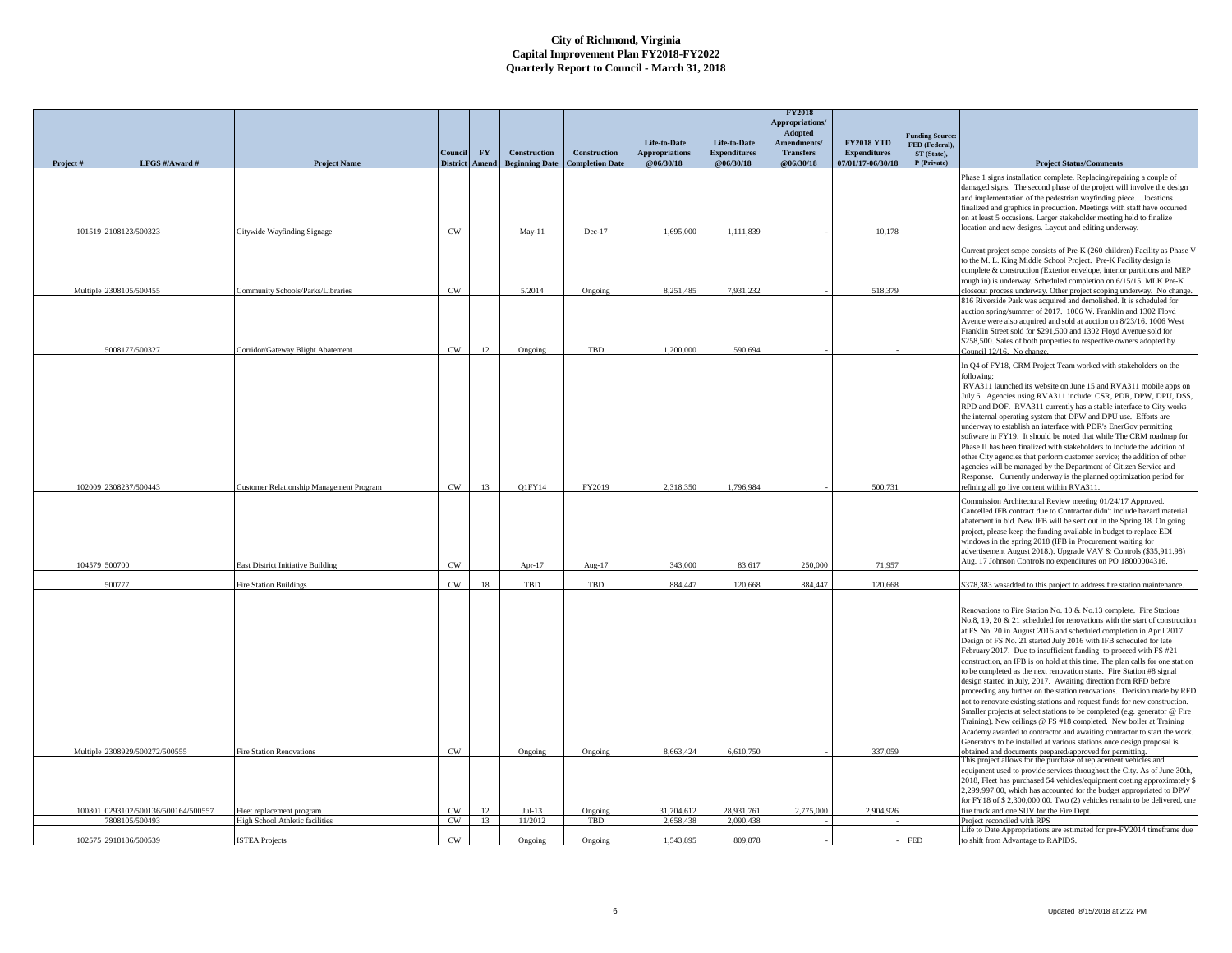|          |                                |                                          |                 |           |                       |                        |                                       |                                     | <b>FY2018</b><br>Appropriations/<br>Adopted |                                          | <b>Funding Source:</b>        |                                                                                                                                                                                                                                                                                                                                                                                                                                                                                                                                                                                                                                                                                                                                                                                                                                                                                                                                                                                                                                                                                                                              |
|----------|--------------------------------|------------------------------------------|-----------------|-----------|-----------------------|------------------------|---------------------------------------|-------------------------------------|---------------------------------------------|------------------------------------------|-------------------------------|------------------------------------------------------------------------------------------------------------------------------------------------------------------------------------------------------------------------------------------------------------------------------------------------------------------------------------------------------------------------------------------------------------------------------------------------------------------------------------------------------------------------------------------------------------------------------------------------------------------------------------------------------------------------------------------------------------------------------------------------------------------------------------------------------------------------------------------------------------------------------------------------------------------------------------------------------------------------------------------------------------------------------------------------------------------------------------------------------------------------------|
|          |                                |                                          | Council         | <b>FY</b> | <b>Construction</b>   | Construction           | Life-to-Date<br><b>Appropriations</b> | Life-to-Date<br><b>Expenditures</b> | Amendments/<br><b>Transfers</b>             | <b>FY2018 YTD</b><br><b>Expenditures</b> | FED (Federal).<br>ST (State), |                                                                                                                                                                                                                                                                                                                                                                                                                                                                                                                                                                                                                                                                                                                                                                                                                                                                                                                                                                                                                                                                                                                              |
| Project# | LFGS #/Award #                 | <b>Project Name</b>                      | <b>District</b> | Amend     | <b>Beginning Date</b> | <b>Completion Date</b> | @06/30/18                             | @06/30/18                           | @06/30/18                                   | 07/01/17-06/30/18                        | P (Private)                   | <b>Project Status/Comments</b>                                                                                                                                                                                                                                                                                                                                                                                                                                                                                                                                                                                                                                                                                                                                                                                                                                                                                                                                                                                                                                                                                               |
|          | 101519 2108123/500323          | Citywide Wayfinding Signage              | CW              |           | $May-11$              | Dec-17                 | 1,695,000                             | 1,111,839                           |                                             | 10,178                                   |                               | Phase 1 signs installation complete. Replacing/repairing a couple of<br>damaged signs. The second phase of the project will involve the design<br>and implementation of the pedestrian wayfinding piecelocations<br>finalized and graphics in production. Meetings with staff have occurred<br>on at least 5 occasions. Larger stakeholder meeting held to finalize<br>location and new designs. Layout and editing underway.                                                                                                                                                                                                                                                                                                                                                                                                                                                                                                                                                                                                                                                                                                |
|          |                                |                                          |                 |           |                       |                        |                                       |                                     |                                             |                                          |                               |                                                                                                                                                                                                                                                                                                                                                                                                                                                                                                                                                                                                                                                                                                                                                                                                                                                                                                                                                                                                                                                                                                                              |
|          | Multiple 2308105/500455        | Community Schools/Parks/Libraries        | CW              |           | 5/2014                | Ongoing                | 8,251,485                             | 7,931,232                           |                                             | 518,379                                  |                               | Current project scope consists of Pre-K (260 children) Facility as Phase V<br>to the M. L. King Middle School Project. Pre-K Facility design is<br>complete & construction (Exterior envelope, interior partitions and MEP<br>rough in) is underway. Scheduled completion on 6/15/15. MLK Pre-K<br>closeout process underway. Other project scoping underway. No change.                                                                                                                                                                                                                                                                                                                                                                                                                                                                                                                                                                                                                                                                                                                                                     |
|          |                                |                                          |                 |           |                       |                        |                                       |                                     |                                             |                                          |                               | 816 Riverside Park was acquired and demolished. It is scheduled for<br>auction spring/summer of 2017. 1006 W. Franklin and 1302 Floyd<br>Avenue were also acquired and sold at auction on 8/23/16. 1006 West<br>Franklin Street sold for \$291,500 and 1302 Floyd Avenue sold for<br>\$258,500. Sales of both properties to respective owners adopted by                                                                                                                                                                                                                                                                                                                                                                                                                                                                                                                                                                                                                                                                                                                                                                     |
|          | 5008177/500327                 | Corridor/Gateway Blight Abatemen         | CW              | 12        | Ongoing               | TBD                    | 1,200,000                             | 590.694                             |                                             |                                          |                               | Council 12/16. No change                                                                                                                                                                                                                                                                                                                                                                                                                                                                                                                                                                                                                                                                                                                                                                                                                                                                                                                                                                                                                                                                                                     |
|          | 102009 2308237/500443          | Customer Relationship Management Program | CW              | 13        | Q1FY14                | FY2019                 | 2,318,350                             | 1,796,984                           |                                             | 500,731                                  |                               | In Q4 of FY18, CRM Project Team worked with stakeholders on the<br>following:<br>RVA311 launched its website on June 15 and RVA311 mobile apps on<br>July 6. Agencies using RVA311 include: CSR, PDR, DPW, DPU, DSS,<br>RPD and DOF. RVA311 currently has a stable interface to City works<br>the internal operating system that DPW and DPU use. Efforts are<br>underway to establish an interface with PDR's EnerGov permitting<br>software in FY19. It should be noted that while The CRM roadmap for<br>Phase II has been finalized with stakeholders to include the addition of<br>other City agencies that perform customer service; the addition of other<br>agencies will be managed by the Department of Citizen Service and<br>Response. Currently underway is the planned optimization period for<br>refining all go live content within RVA311                                                                                                                                                                                                                                                                   |
|          |                                |                                          |                 |           |                       |                        |                                       |                                     |                                             |                                          |                               | Commission Architectural Review meeting 01/24/17 Approved.                                                                                                                                                                                                                                                                                                                                                                                                                                                                                                                                                                                                                                                                                                                                                                                                                                                                                                                                                                                                                                                                   |
|          | 104579 500700                  | <b>East District Initiative Building</b> | CW              |           | Apr- $17$             | Aug-17                 | 343,000                               | 83.617                              | 250,000                                     | 71.957                                   |                               | Cancelled IFB contract due to Contractor didn't include hazard material<br>abatement in bid. New IFB will be sent out in the Spring 18. On going<br>project, please keep the funding available in budget to replace EDI<br>windows in the spring 2018 (IFB in Procurement waiting for<br>advertisement August 2018.). Upgrade VAV & Controls (\$35,911.98)<br>Aug. 17 Johnson Controls no expenditures on PO 18000004316.                                                                                                                                                                                                                                                                                                                                                                                                                                                                                                                                                                                                                                                                                                    |
|          | 500777                         | <b>Fire Station Buildings</b>            | CW              | 18        | TBD                   | TBD                    | 884,447                               | 120,668                             | 884,447                                     | 120,668                                  |                               | \$378,383 wasadded to this project to address fire station maintenance.                                                                                                                                                                                                                                                                                                                                                                                                                                                                                                                                                                                                                                                                                                                                                                                                                                                                                                                                                                                                                                                      |
|          | Multiple 2308929/500272/500555 | <b>Fire Station Renovations</b>          | CW              |           | Ongoing               | Ongoing                | 8,663,424                             | 6.610.750                           |                                             | 337,059                                  |                               | Renovations to Fire Station No. 10 & No.13 complete. Fire Stations<br>No.8, 19, 20 & 21 scheduled for renovations with the start of construction<br>at FS No. 20 in August 2016 and scheduled completion in April 2017.<br>Design of FS No. 21 started July 2016 with IFB scheduled for late<br>February 2017. Due to insufficient funding to proceed with FS #21<br>construction, an IFB is on hold at this time. The plan calls for one station<br>to be completed as the next renovation starts. Fire Station #8 signal<br>design started in July, 2017. Awaiting direction from RFD before<br>proceeding any further on the station renovations. Decision made by RFD<br>not to renovate existing stations and request funds for new construction.<br>Smaller projects at select stations to be completed (e.g. generator @ Fire<br>Training). New ceilings @ FS #18 completed. New boiler at Training<br>Academy awarded to contractor and awaiting contractor to start the work.<br>Generators to be installed at various stations once design proposal is<br>obtained and documents prepared/approved for permitting. |
|          |                                |                                          |                 |           |                       |                        |                                       |                                     |                                             |                                          |                               | This project allows for the purchase of replacement vehicles and                                                                                                                                                                                                                                                                                                                                                                                                                                                                                                                                                                                                                                                                                                                                                                                                                                                                                                                                                                                                                                                             |
| 100801   | 0293102/500136/500164/500557   | Fleet replacement program                | CW              | 12        | $Jul-13$              | Ongoing                | 31,704,612                            | 28,931,761                          | 2,775,000                                   | 2.904.926                                |                               | equipment used to provide services throughout the City. As of June 30th,<br>2018, Fleet has purchased 54 vehicles/equipment costing approximately \$<br>2,299,997.00, which has accounted for the budget appropriated to DPW<br>for FY18 of \$2,300,000.00. Two (2) vehicles remain to be delivered, one<br>fire truck and one SUV for the Fire Dept.                                                                                                                                                                                                                                                                                                                                                                                                                                                                                                                                                                                                                                                                                                                                                                        |
|          | 808105/500493                  | High School Athletic facilities          | CW              | 13        | 11/2012               | TBD                    | 2.658.438                             | 2.090,438                           |                                             |                                          |                               | Project reconciled with RPS<br>Life to Date Appropriations are estimated for pre-FY2014 timeframe due                                                                                                                                                                                                                                                                                                                                                                                                                                                                                                                                                                                                                                                                                                                                                                                                                                                                                                                                                                                                                        |
|          | 102575 2918186/500539          | <b>ISTEA Projects</b>                    | CW              |           | Ongoing               | Ongoing                | 1.543.895                             | 809,878                             |                                             |                                          | <b>FED</b>                    | to shift from Advantage to RAPIDS.                                                                                                                                                                                                                                                                                                                                                                                                                                                                                                                                                                                                                                                                                                                                                                                                                                                                                                                                                                                                                                                                                           |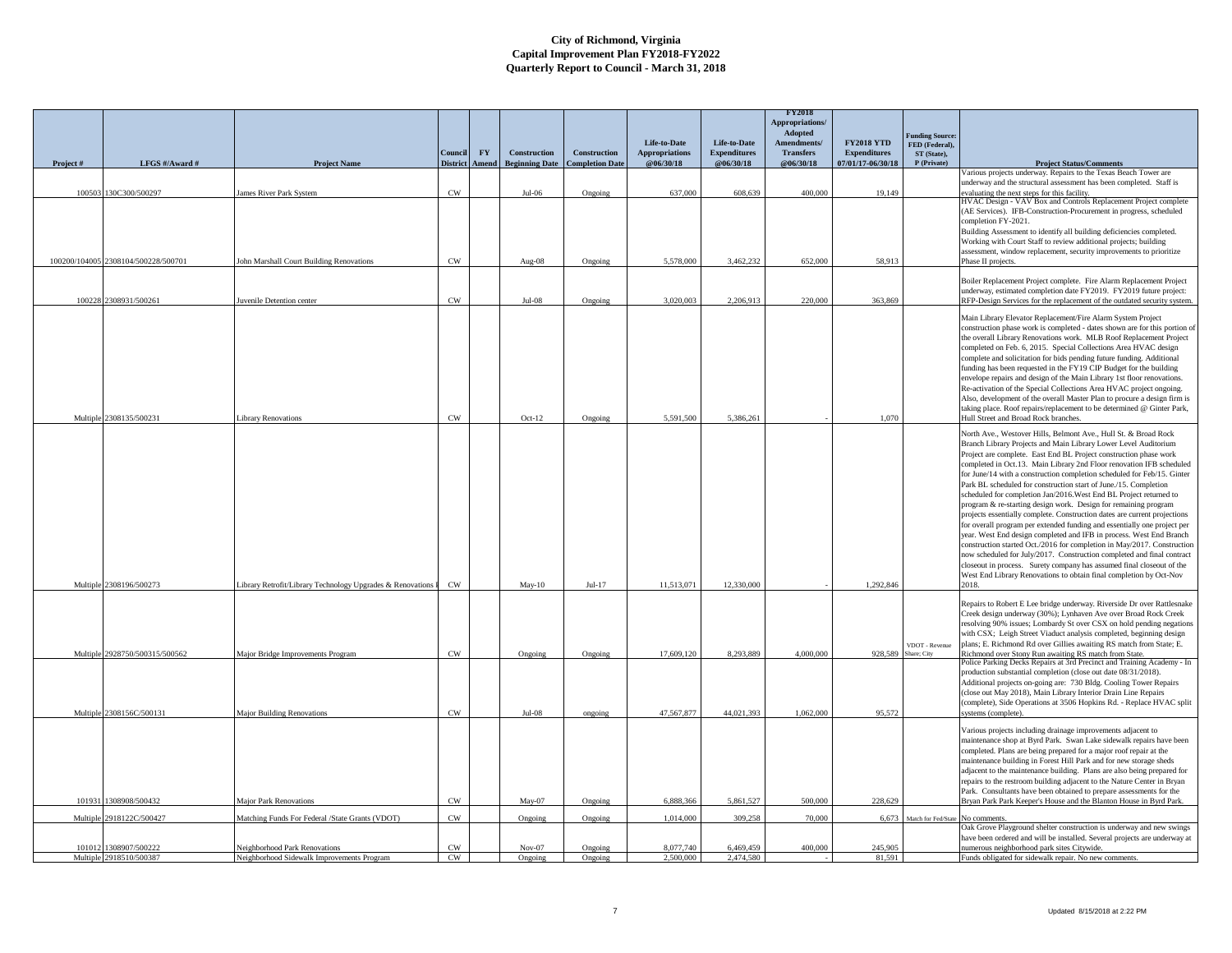|          |                                     |                                                           |                            |                           |                                       |                                               |                                    |                                  | <b>FY2018</b><br>Appropriations/<br>Adopted |                                          |                                          |                                                                                                                                                    |
|----------|-------------------------------------|-----------------------------------------------------------|----------------------------|---------------------------|---------------------------------------|-----------------------------------------------|------------------------------------|----------------------------------|---------------------------------------------|------------------------------------------|------------------------------------------|----------------------------------------------------------------------------------------------------------------------------------------------------|
|          |                                     |                                                           |                            |                           |                                       |                                               | Life-to-Date                       | Life-to-Date                     | Amendments/                                 | <b>FY2018 YTD</b>                        | <b>Funding Source:</b><br>FED (Federal), |                                                                                                                                                    |
| Project# | LFGS #/Award #                      | <b>Project Name</b>                                       | Council<br><b>District</b> | ${\bf F}{\bf Y}$<br>Amend | Construction<br><b>Beginning Date</b> | <b>Construction</b><br><b>Completion Date</b> | <b>Appropriations</b><br>@06/30/18 | <b>Expenditures</b><br>@06/30/18 | <b>Transfers</b><br>@06/30/18               | <b>Expenditures</b><br>07/01/17-06/30/18 | ST (State),<br>P (Private)               | <b>Project Status/Comments</b>                                                                                                                     |
|          |                                     |                                                           |                            |                           |                                       |                                               |                                    |                                  |                                             |                                          |                                          | Various projects underway. Repairs to the Texas Beach Tower are                                                                                    |
|          | 100503 130C300/500297               | ames River Park System                                    | $\text{cw}$                |                           | $Jul-06$                              | Ongoing                                       | 637,000                            | 608,639                          | 400,000                                     | 19,149                                   |                                          | anderway and the structural assessment has been completed. Staff is<br>evaluating the next steps for this facility.                                |
|          |                                     |                                                           |                            |                           |                                       |                                               |                                    |                                  |                                             |                                          |                                          | HVAC Design - VAV Box and Controls Replacement Project complete<br>(AE Services). IFB-Construction-Procurement in progress, scheduled              |
|          |                                     |                                                           |                            |                           |                                       |                                               |                                    |                                  |                                             |                                          |                                          | completion FY-2021.                                                                                                                                |
|          |                                     |                                                           |                            |                           |                                       |                                               |                                    |                                  |                                             |                                          |                                          | Building Assessment to identify all building deficiencies completed.<br>Working with Court Staff to review additional projects; building           |
|          |                                     |                                                           |                            |                           |                                       |                                               |                                    |                                  |                                             |                                          |                                          | assessment, window replacement, security improvements to prioritize                                                                                |
|          | 100200/104005 2308104/500228/500701 | ohn Marshall Court Building Renovations                   | CW                         |                           | Aug-08                                | Ongoing                                       | 5,578,000                          | 3.462.232                        | 652,000                                     | 58.913                                   |                                          | Phase II projects.                                                                                                                                 |
|          |                                     |                                                           |                            |                           |                                       |                                               |                                    |                                  |                                             |                                          |                                          | Boiler Replacement Project complete. Fire Alarm Replacement Project                                                                                |
|          | 100228 2308931/500261               | uvenile Detention center                                  | $\text{cw}$                |                           | $Jul-08$                              | Ongoing                                       | 3,020,003                          | 2,206,913                        | 220,000                                     | 363,869                                  |                                          | underway, estimated completion date FY2019. FY2019 future project:<br>RFP-Design Services for the replacement of the outdated security system.     |
|          |                                     |                                                           |                            |                           |                                       |                                               |                                    |                                  |                                             |                                          |                                          | Main Library Elevator Replacement/Fire Alarm System Project                                                                                        |
|          |                                     |                                                           |                            |                           |                                       |                                               |                                    |                                  |                                             |                                          |                                          | construction phase work is completed - dates shown are for this portion of                                                                         |
|          |                                     |                                                           |                            |                           |                                       |                                               |                                    |                                  |                                             |                                          |                                          | the overall Library Renovations work. MLB Roof Replacement Project<br>completed on Feb. 6, 2015. Special Collections Area HVAC design              |
|          |                                     |                                                           |                            |                           |                                       |                                               |                                    |                                  |                                             |                                          |                                          | complete and solicitation for bids pending future funding. Additional                                                                              |
|          |                                     |                                                           |                            |                           |                                       |                                               |                                    |                                  |                                             |                                          |                                          | funding has been requested in the FY19 CIP Budget for the building<br>envelope repairs and design of the Main Library 1st floor renovations.       |
|          |                                     |                                                           |                            |                           |                                       |                                               |                                    |                                  |                                             |                                          |                                          | Re-activation of the Special Collections Area HVAC project ongoing.                                                                                |
|          |                                     |                                                           |                            |                           |                                       |                                               |                                    |                                  |                                             |                                          |                                          | Also, development of the overall Master Plan to procure a design firm is<br>taking place. Roof repairs/replacement to be determined @ Ginter Park, |
|          | Multiple 2308135/500231             | ibrary Renovations                                        | CW                         |                           | $Oct-12$                              | Ongoing                                       | 5.591.500                          | 5.386.261                        |                                             | 1.070                                    |                                          | Hull Street and Broad Rock branches.                                                                                                               |
|          |                                     |                                                           |                            |                           |                                       |                                               |                                    |                                  |                                             |                                          |                                          | North Ave., Westover Hills, Belmont Ave., Hull St. & Broad Rock                                                                                    |
|          |                                     |                                                           |                            |                           |                                       |                                               |                                    |                                  |                                             |                                          |                                          | Branch Library Projects and Main Library Lower Level Auditorium<br>Project are complete. East End BL Project construction phase work               |
|          |                                     |                                                           |                            |                           |                                       |                                               |                                    |                                  |                                             |                                          |                                          | completed in Oct.13. Main Library 2nd Floor renovation IFB scheduled                                                                               |
|          |                                     |                                                           |                            |                           |                                       |                                               |                                    |                                  |                                             |                                          |                                          | for June/14 with a construction completion scheduled for Feb/15. Ginter<br>Park BL scheduled for construction start of June./15. Completion        |
|          |                                     |                                                           |                            |                           |                                       |                                               |                                    |                                  |                                             |                                          |                                          | scheduled for completion Jan/2016. West End BL Project returned to                                                                                 |
|          |                                     |                                                           |                            |                           |                                       |                                               |                                    |                                  |                                             |                                          |                                          | program & re-starting design work. Design for remaining program<br>projects essentially complete. Construction dates are current projections       |
|          |                                     |                                                           |                            |                           |                                       |                                               |                                    |                                  |                                             |                                          |                                          | for overall program per extended funding and essentially one project per                                                                           |
|          |                                     |                                                           |                            |                           |                                       |                                               |                                    |                                  |                                             |                                          |                                          | year. West End design completed and IFB in process. West End Branch<br>construction started Oct./2016 for completion in May/2017. Construction     |
|          |                                     |                                                           |                            |                           |                                       |                                               |                                    |                                  |                                             |                                          |                                          | now scheduled for July/2017. Construction completed and final contract                                                                             |
|          |                                     |                                                           |                            |                           |                                       |                                               |                                    |                                  |                                             |                                          |                                          | closeout in process. Surety company has assumed final closeout of the<br>West End Library Renovations to obtain final completion by Oct-Nov        |
|          | Multiple 2308196/500273             | ibrary Retrofit/Library Technology Upgrades & Renovations | <b>CW</b>                  |                           | $May-10$                              | $Jul-17$                                      | 11.513.071                         | 12,330,000                       |                                             | 1,292,846                                |                                          |                                                                                                                                                    |
|          |                                     |                                                           |                            |                           |                                       |                                               |                                    |                                  |                                             |                                          |                                          | Repairs to Robert E Lee bridge underway. Riverside Dr over Rattlesnake                                                                             |
|          |                                     |                                                           |                            |                           |                                       |                                               |                                    |                                  |                                             |                                          |                                          | Creek design underway (30%); Lynhaven Ave over Broad Rock Creek<br>resolving 90% issues; Lombardy St over CSX on hold pending negations            |
|          |                                     |                                                           |                            |                           |                                       |                                               |                                    |                                  |                                             |                                          |                                          | with CSX; Leigh Street Viaduct analysis completed, beginning design                                                                                |
|          | Multiple 2928750/500315/500562      | Major Bridge Improvements Program                         | $_{\rm CW}$                |                           | Ongoing                               | Ongoing                                       | 17,609,120                         | 8,293,889                        | 4,000,000                                   | 928,589                                  | VDOT - Revenue<br>Share; City            | plans; E. Richmond Rd over Gillies awaiting RS match from State; E.<br>Richmond over Stony Run awaiting RS match from State.                       |
|          |                                     |                                                           |                            |                           |                                       |                                               |                                    |                                  |                                             |                                          |                                          | Police Parking Decks Repairs at 3rd Precinct and Training Academy - In                                                                             |
|          |                                     |                                                           |                            |                           |                                       |                                               |                                    |                                  |                                             |                                          |                                          | production substantial completion (close out date 08/31/2018).<br>Additional projects on-going are: 730 Bldg. Cooling Tower Repairs                |
|          |                                     |                                                           |                            |                           |                                       |                                               |                                    |                                  |                                             |                                          |                                          | (close out May 2018), Main Library Interior Drain Line Repairs                                                                                     |
|          | Multiple 2308156C/500131            | <b>Major Building Renovations</b>                         | $\text{cw}$                |                           | $Jul-08$                              | ongoing                                       | 47,567,877                         | 44.021.393                       | 1.062,000                                   | 95,572                                   |                                          | (complete), Side Operations at 3506 Hopkins Rd. - Replace HVAC split<br>ystems (complete).                                                         |
|          |                                     |                                                           |                            |                           |                                       |                                               |                                    |                                  |                                             |                                          |                                          | Various projects including drainage improvements adjacent to                                                                                       |
|          |                                     |                                                           |                            |                           |                                       |                                               |                                    |                                  |                                             |                                          |                                          | maintenance shop at Byrd Park. Swan Lake sidewalk repairs have been                                                                                |
|          |                                     |                                                           |                            |                           |                                       |                                               |                                    |                                  |                                             |                                          |                                          | completed. Plans are being prepared for a major roof repair at the<br>maintenance building in Forest Hill Park and for new storage sheds           |
|          |                                     |                                                           |                            |                           |                                       |                                               |                                    |                                  |                                             |                                          |                                          | adjacent to the maintenance building. Plans are also being prepared for                                                                            |
|          |                                     |                                                           |                            |                           |                                       |                                               |                                    |                                  |                                             |                                          |                                          | repairs to the restroom building adjacent to the Nature Center in Bryan<br>Park. Consultants have been obtained to prepare assessments for the     |
|          | 101931 1308908/500432               | <b>Major Park Renovations</b>                             | $\mathrm{CW}$              |                           | May-07                                | Ongoing                                       | 6,888,366                          | 5,861,527                        | 500,000                                     | 228,629                                  |                                          | Bryan Park Park Keeper's House and the Blanton House in Byrd Park.                                                                                 |
| Multiple | 918122C/500427                      | Matching Funds For Federal /State Grants (VDOT)           | CW                         |                           | Ongoing                               | Ongoing                                       | 1,014,000                          | 309.258                          | 70,000                                      | 6,673                                    | Match for Fed/State                      | No comments                                                                                                                                        |
|          |                                     |                                                           |                            |                           |                                       |                                               |                                    |                                  |                                             |                                          |                                          | Oak Grove Playground shelter construction is underway and new swings<br>have been ordered and will be installed. Several projects are underway at  |
|          | 101012 1308907/500222               | <b>Veighborhood Park Renovations</b>                      | CW                         |                           | $Nov-07$                              | Ongoing                                       | 8,077,740                          | 6,469,459                        | 400,000                                     | 245,905                                  |                                          | numerous neighborhood park sites Citywide.                                                                                                         |
|          | Multiple 2918510/500387             | Neighborhood Sidewalk Improvements Program                | CW                         |                           | Ongoing                               | Ongoing                                       | 2,500,000                          | 2.474.580                        |                                             | 81.591                                   |                                          | Funds obligated for sidewalk repair. No new comments.                                                                                              |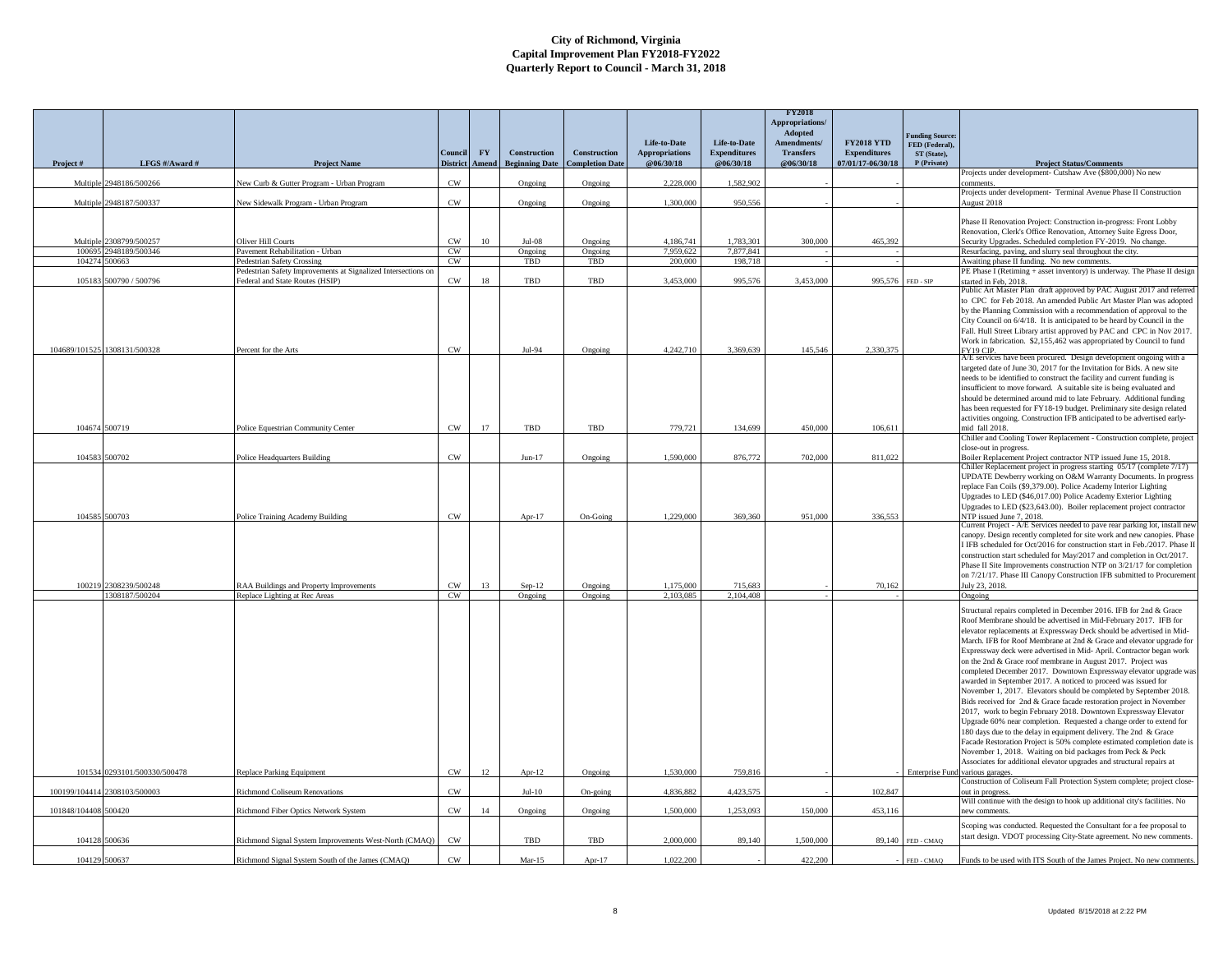|               |                                        |                                                               |                 |           |                       |                       |                                       |                                     | <b>FY2018</b><br><b>Appropriations/</b><br>Adopted |                                          |                                                         |                                                                                                                                                 |
|---------------|----------------------------------------|---------------------------------------------------------------|-----------------|-----------|-----------------------|-----------------------|---------------------------------------|-------------------------------------|----------------------------------------------------|------------------------------------------|---------------------------------------------------------|-------------------------------------------------------------------------------------------------------------------------------------------------|
|               |                                        |                                                               | Council         | <b>FY</b> | <b>Construction</b>   | Construction          | Life-to-Date<br><b>Appropriations</b> | Life-to-Date<br><b>Expenditures</b> | Amendments/<br><b>Transfers</b>                    | <b>FY2018 YTD</b><br><b>Expenditures</b> | <b>Funding Source:</b><br>FED (Federal),<br>ST (State), |                                                                                                                                                 |
| Project#      | LFGS #/Award #                         | <b>Project Name</b>                                           | <b>District</b> | Amend     | <b>Beginning Date</b> | <b>Completion Dat</b> | @06/30/18                             | @06/30/18                           | @06/30/18                                          | 07/01/17-06/30/18                        | P (Private)                                             | <b>Project Status/Comments</b>                                                                                                                  |
|               | 2948186/500266                         |                                                               |                 |           |                       |                       |                                       |                                     |                                                    |                                          |                                                         | Projects under development- Cutshaw Ave (\$800,000) No new                                                                                      |
| Multiple      |                                        | New Curb & Gutter Program - Urban Program                     | CW              |           | Ongoing               | Ongoing               | 2,228,000                             | 1,582,902                           |                                                    |                                          |                                                         | comments<br>Projects under development- Terminal Avenue Phase II Construction                                                                   |
| Multip        | 2948187/500337                         | Vew Sidewalk Program - Urban Program                          | CW              |           | Ongoing               | Ongoing               | 1,300,000                             | 950,556                             |                                                    |                                          |                                                         | August 2018                                                                                                                                     |
|               |                                        |                                                               |                 |           |                       |                       |                                       |                                     |                                                    |                                          |                                                         | Phase II Renovation Project: Construction in-progress: Front Lobby                                                                              |
|               |                                        |                                                               |                 |           |                       |                       |                                       |                                     |                                                    |                                          |                                                         | Renovation, Clerk's Office Renovation, Attorney Suite Egress Door,                                                                              |
|               | Multiple 2308799/500257                | Oliver Hill Courts                                            | CW              | 10        | $Jul-08$              | Ongoing               | 4.186.741                             | 1.783.301                           | 300,000                                            | 465,392                                  |                                                         | Security Upgrades. Scheduled completion FY-2019. No change.                                                                                     |
|               | 100695 2948189/500346<br>104274 500663 | Pavement Rehabilitation - Urban<br>Pedestrian Safety Crossing | CW<br>CW        |           | Ongoing<br>TBD        | Ongoing<br>TBD        | 7,959,622<br>200,000                  | 7,877,841<br>198,718                |                                                    |                                          |                                                         | Resurfacing, paving, and slurry seal throughout the city.                                                                                       |
|               |                                        | Pedestrian Safety Improvements at Signalized Intersections on |                 |           |                       |                       |                                       |                                     |                                                    |                                          |                                                         | Awaiting phase II funding. No new comments.<br>PE Phase I (Retiming + asset inventory) is underway. The Phase II design                         |
| 105183        | 500790 / 500796                        | Federal and State Routes (HSIP)                               | CW              | 18        | TBD                   | TBD                   | 3,453,000                             | 995,576                             | 3,453,000                                          |                                          | 995,576 FED - SIP                                       | started in Feb, 2018.                                                                                                                           |
|               |                                        |                                                               |                 |           |                       |                       |                                       |                                     |                                                    |                                          |                                                         | Public Art Master Plan draft approved by PAC August 2017 and referred                                                                           |
|               |                                        |                                                               |                 |           |                       |                       |                                       |                                     |                                                    |                                          |                                                         | to CPC for Feb 2018. An amended Public Art Master Plan was adopted<br>by the Planning Commission with a recommendation of approval to the       |
|               |                                        |                                                               |                 |           |                       |                       |                                       |                                     |                                                    |                                          |                                                         | City Council on 6/4/18. It is anticipated to be heard by Council in the                                                                         |
|               |                                        |                                                               |                 |           |                       |                       |                                       |                                     |                                                    |                                          |                                                         | Fall. Hull Street Library artist approved by PAC and CPC in Nov 2017                                                                            |
|               | 104689/101525 1308131/500328           | Percent for the Arts                                          | $\mathrm{CW}$   |           | Jul-94                |                       | 4,242,710                             | 3,369,639                           | 145,546                                            | 2,330,375                                |                                                         | Work in fabrication. \$2,155,462 was appropriated by Council to fund<br><b>FY19 CIP</b>                                                         |
|               |                                        |                                                               |                 |           |                       | Ongoing               |                                       |                                     |                                                    |                                          |                                                         | A/E services have been procured. Design development ongoing with a                                                                              |
|               |                                        |                                                               |                 |           |                       |                       |                                       |                                     |                                                    |                                          |                                                         | targeted date of June 30, 2017 for the Invitation for Bids. A new site                                                                          |
|               |                                        |                                                               |                 |           |                       |                       |                                       |                                     |                                                    |                                          |                                                         | needs to be identified to construct the facility and current funding is                                                                         |
|               |                                        |                                                               |                 |           |                       |                       |                                       |                                     |                                                    |                                          |                                                         | insufficient to move forward. A suitable site is being evaluated and<br>should be determined around mid to late February. Additional funding    |
|               |                                        |                                                               |                 |           |                       |                       |                                       |                                     |                                                    |                                          |                                                         | has been requested for FY18-19 budget. Preliminary site design related                                                                          |
|               |                                        |                                                               |                 |           |                       |                       |                                       |                                     |                                                    |                                          |                                                         | activities ongoing. Construction IFB anticipated to be advertised early-                                                                        |
|               | 104674 500719                          | Police Equestrian Community Center                            | $\mathrm{CW}$   | 17        | TBD                   | TBD                   | 779,721                               | 134,699                             | 450,000                                            | 106,611                                  |                                                         | mid fall 2018.<br>Chiller and Cooling Tower Replacement - Construction complete, project                                                        |
|               |                                        |                                                               |                 |           |                       |                       |                                       |                                     |                                                    |                                          |                                                         | close-out in progress.                                                                                                                          |
| 104583        | 500702                                 | Police Headquarters Building                                  | CW              |           | $Jun-17$              | Ongoing               | 1,590,000                             | 876,772                             | 702,000                                            | 811,022                                  |                                                         | Boiler Replacement Project contractor NTP issued June 15, 2018                                                                                  |
|               |                                        |                                                               |                 |           |                       |                       |                                       |                                     |                                                    |                                          |                                                         | Chiller Replacement project in progress starting 05/17 (complete 7/17)                                                                          |
|               |                                        |                                                               |                 |           |                       |                       |                                       |                                     |                                                    |                                          |                                                         | UPDATE Dewberry working on O&M Warranty Documents. In progress<br>replace Fan Coils (\$9,379.00). Police Academy Interior Lighting              |
|               |                                        |                                                               |                 |           |                       |                       |                                       |                                     |                                                    |                                          |                                                         | Upgrades to LED (\$46,017.00) Police Academy Exterior Lighting                                                                                  |
|               |                                        |                                                               |                 |           |                       |                       |                                       |                                     |                                                    |                                          |                                                         | Upgrades to LED (\$23,643.00). Boiler replacement project contractor                                                                            |
|               | 104585 500703                          | Police Training Academy Building                              | <b>CW</b>       |           | Apr-17                | On-Going              | 1,229,000                             | 369,360                             | 951,000                                            | 336,553                                  |                                                         | NTP issued June 7, 2018.<br>Current Project - A/E Services needed to pave rear parking lot, install new                                         |
|               |                                        |                                                               |                 |           |                       |                       |                                       |                                     |                                                    |                                          |                                                         | canopy. Design recently completed for site work and new canopies. Phase                                                                         |
|               |                                        |                                                               |                 |           |                       |                       |                                       |                                     |                                                    |                                          |                                                         | I IFB scheduled for Oct/2016 for construction start in Feb./2017. Phase II                                                                      |
|               |                                        |                                                               |                 |           |                       |                       |                                       |                                     |                                                    |                                          |                                                         | construction start scheduled for May/2017 and completion in Oct/2017.                                                                           |
|               |                                        |                                                               |                 |           |                       |                       |                                       |                                     |                                                    |                                          |                                                         | Phase II Site Improvements construction NTP on 3/21/17 for completion<br>on 7/21/17. Phase III Canopy Construction IFB submitted to Procurement |
|               | 100219 2308239/500248                  | RAA Buildings and Property Improvements                       | CW              | 13        | Sep-12                | Ongoing               | 1.175.000                             | 715.683                             |                                                    | 70,162                                   |                                                         | July 23, 2018.                                                                                                                                  |
|               | 1308187/500204                         | Replace Lighting at Rec Areas                                 | CW              |           | Ongoing               | Ongoing               | 2,103,085                             | 2.104.408                           |                                                    |                                          |                                                         | Ongoing                                                                                                                                         |
|               |                                        |                                                               |                 |           |                       |                       |                                       |                                     |                                                    |                                          |                                                         | Structural repairs completed in December 2016. IFB for 2nd & Grace                                                                              |
|               |                                        |                                                               |                 |           |                       |                       |                                       |                                     |                                                    |                                          |                                                         | Roof Membrane should be advertised in Mid-February 2017. IFB for                                                                                |
|               |                                        |                                                               |                 |           |                       |                       |                                       |                                     |                                                    |                                          |                                                         | elevator replacements at Expressway Deck should be advertised in Mid-                                                                           |
|               |                                        |                                                               |                 |           |                       |                       |                                       |                                     |                                                    |                                          |                                                         | March. IFB for Roof Membrane at 2nd & Grace and elevator upgrade for<br>Expressway deck were advertised in Mid- April. Contractor began work    |
|               |                                        |                                                               |                 |           |                       |                       |                                       |                                     |                                                    |                                          |                                                         | on the 2nd & Grace roof membrane in August 2017. Project was                                                                                    |
|               |                                        |                                                               |                 |           |                       |                       |                                       |                                     |                                                    |                                          |                                                         | completed December 2017. Downtown Expressway elevator upgrade was                                                                               |
|               |                                        |                                                               |                 |           |                       |                       |                                       |                                     |                                                    |                                          |                                                         | awarded in September 2017. A noticed to proceed was issued for                                                                                  |
|               |                                        |                                                               |                 |           |                       |                       |                                       |                                     |                                                    |                                          |                                                         | November 1, 2017. Elevators should be completed by September 2018.                                                                              |
|               |                                        |                                                               |                 |           |                       |                       |                                       |                                     |                                                    |                                          |                                                         | Bids received for 2nd & Grace facade restoration project in November<br>2017, work to begin February 2018. Downtown Expressway Elevator         |
|               |                                        |                                                               |                 |           |                       |                       |                                       |                                     |                                                    |                                          |                                                         | Upgrade 60% near completion. Requested a change order to extend for                                                                             |
|               |                                        |                                                               |                 |           |                       |                       |                                       |                                     |                                                    |                                          |                                                         | 180 days due to the delay in equipment delivery. The 2nd & Grace                                                                                |
|               |                                        |                                                               |                 |           |                       |                       |                                       |                                     |                                                    |                                          |                                                         | Facade Restoration Project is 50% complete estimated completion date is                                                                         |
|               |                                        |                                                               |                 |           |                       |                       |                                       |                                     |                                                    |                                          |                                                         | November 1, 2018. Waiting on bid packages from Peck & Peck<br>Associates for additional elevator upgrades and structural repairs at             |
|               | 101534 0293101/500330/500478           | Replace Parking Equipment                                     | CW              | 12        | Apr-12                | Ongoing               | 1,530,000                             | 759,816                             |                                                    |                                          |                                                         | Enterprise Fund various garages.                                                                                                                |
|               |                                        |                                                               |                 |           |                       |                       |                                       |                                     |                                                    |                                          |                                                         | Construction of Coliseum Fall Protection System complete; project close-                                                                        |
|               | 100199/104414 2308103/500003           | Richmond Coliseum Renovations                                 | CW              |           | $Jul-10$              | On-going              | 4,836,882                             | 4.423.575                           |                                                    | 102,847                                  |                                                         | out in progress.                                                                                                                                |
| 101848/104408 | 500420                                 | Richmond Fiber Optics Network System                          | CW              | 14        | Ongoing               | Ongoing               | 1.500,000                             | 1.253.093                           | 150,000                                            | 453,116                                  |                                                         | Will continue with the design to hook up additional city's facilities. No<br>ew comments                                                        |
|               |                                        |                                                               |                 |           |                       |                       |                                       |                                     |                                                    |                                          |                                                         |                                                                                                                                                 |
|               |                                        |                                                               |                 |           |                       |                       |                                       |                                     |                                                    |                                          |                                                         | Scoping was conducted. Requested the Consultant for a fee proposal to<br>start design. VDOT processing City-State agreement. No new comments    |
|               | 104128 500636                          | Richmond Signal System Improvements West-North (CMAQ)         | CW              |           | TBD                   | TBD                   | 2.000.000                             | 89.140                              | 1,500,000                                          |                                          | 89.140 FED - CMAO                                       |                                                                                                                                                 |
|               | 104129 500637                          | Richmond Signal System South of the James (CMAQ)              | CW              |           | $Mar-15$              | Apr-17                | 1.022.200                             |                                     | 422.200                                            |                                          | FED - CMAQ                                              | Funds to be used with ITS South of the James Project. No new comments                                                                           |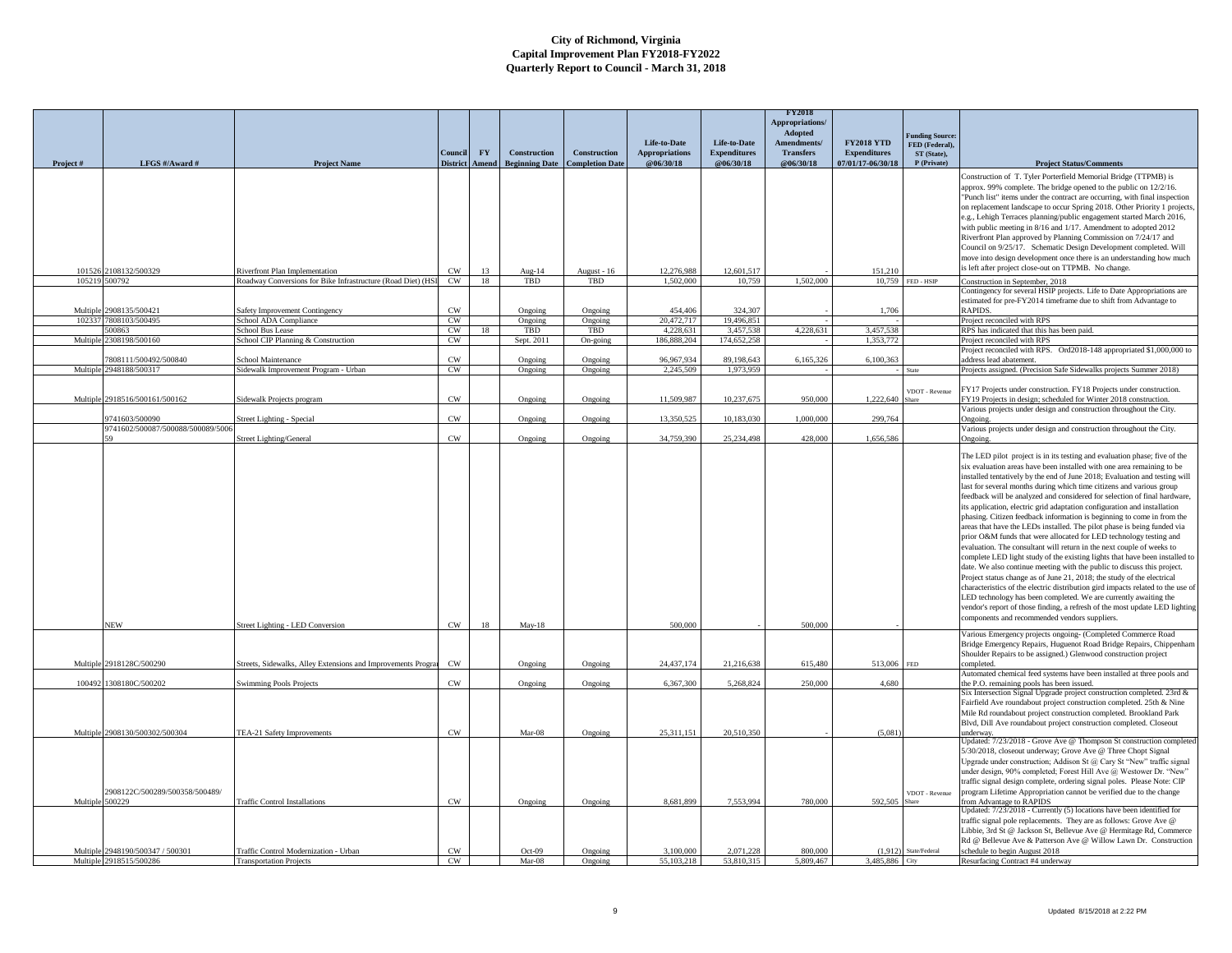|                 |                                                     |                                                              |                            |           |                       |                        |                         |                         | <b>FY2018</b><br>Appropriations/ |                           |                                          |                                                                                                                                                      |
|-----------------|-----------------------------------------------------|--------------------------------------------------------------|----------------------------|-----------|-----------------------|------------------------|-------------------------|-------------------------|----------------------------------|---------------------------|------------------------------------------|------------------------------------------------------------------------------------------------------------------------------------------------------|
|                 |                                                     |                                                              |                            |           |                       |                        | Life-to-Date            | <b>Life-to-Date</b>     | Adopted<br>Amendments/           | <b>FY2018 YTD</b>         | <b>Funding Source:</b><br>FED (Federal), |                                                                                                                                                      |
|                 |                                                     |                                                              | Council                    | <b>FY</b> | Construction          | <b>Construction</b>    | <b>Appropriations</b>   | <b>Expenditures</b>     | <b>Transfers</b>                 | <b>Expenditures</b>       | ST (State),                              |                                                                                                                                                      |
| Project#        | LFGS #/Award #                                      | <b>Project Name</b>                                          | <b>District</b>            | Amend     | <b>Beginning Date</b> | <b>Completion Date</b> | @06/30/18               | @06/30/18               | @06/30/18                        | 07/01/17-06/30/18         | P (Private)                              | <b>Project Status/Comments</b><br>Construction of T. Tyler Porterfield Memorial Bridge (TTPMB) is                                                    |
|                 |                                                     |                                                              |                            |           |                       |                        |                         |                         |                                  |                           |                                          | approx. 99% complete. The bridge opened to the public on 12/2/16.                                                                                    |
|                 |                                                     |                                                              |                            |           |                       |                        |                         |                         |                                  |                           |                                          | "Punch list" items under the contract are occurring, with final inspection                                                                           |
|                 |                                                     |                                                              |                            |           |                       |                        |                         |                         |                                  |                           |                                          | on replacement landscape to occur Spring 2018. Other Priority 1 projects,<br>e.g., Lehigh Terraces planning/public engagement started March 2016,    |
|                 |                                                     |                                                              |                            |           |                       |                        |                         |                         |                                  |                           |                                          | with public meeting in 8/16 and 1/17. Amendment to adopted 2012                                                                                      |
|                 |                                                     |                                                              |                            |           |                       |                        |                         |                         |                                  |                           |                                          | Riverfront Plan approved by Planning Commission on 7/24/17 and                                                                                       |
|                 |                                                     |                                                              |                            |           |                       |                        |                         |                         |                                  |                           |                                          | Council on 9/25/17. Schematic Design Development completed. Will<br>move into design development once there is an understanding how much             |
|                 | 101526 2108132/500329                               | Riverfront Plan Implementation                               | CW                         | 13        | Aug-14                | August - 16            | 12,276,988              | 12,601,517              |                                  | 151,210                   |                                          | is left after project close-out on TTPMB. No change.                                                                                                 |
|                 | 105219 500792                                       | Roadway Conversions for Bike Infrastructure (Road Diet) (HSI | CW                         | 18        | TBD                   | TBD                    | 1.502,000               | 10,759                  | 1,502,000                        |                           | 10,759 FED - HSIP                        | Construction in September, 2018                                                                                                                      |
|                 |                                                     |                                                              |                            |           |                       |                        |                         |                         |                                  |                           |                                          | Contingency for several HSIP projects. Life to Date Appropriations are<br>estimated for pre-FY2014 timeframe due to shift from Advantage to          |
| Multiple        | 2908135/500421                                      | afety Improvement Contingency                                | CW                         |           | Ongoing               | Ongoing                | 454,406                 | 324,307                 |                                  | 1.706                     |                                          | RAPIDS.                                                                                                                                              |
| 10233           | 7808103/500495<br>00863                             | School ADA Compliance<br>School Bus Lease                    | CW<br>CW                   | 18        | Ongoing<br>TBD        | Ongoing<br>TBD         | 20,472,717<br>4.228.631 | 19,496.851<br>3,457,538 | 4,228,631                        | 3,457,538                 |                                          | Project reconciled with RPS<br>RPS has indicated that this has been paid.                                                                            |
| Multip          | 308198/500160                                       | School CIP Planning & Construction                           | CW                         |           | Sept. 2011            | On-going               | 186,888,204             | 174,652,258             |                                  | 1,353,772                 |                                          | Project reconciled with RPS                                                                                                                          |
|                 |                                                     |                                                              |                            |           |                       |                        |                         |                         |                                  |                           |                                          | Project reconciled with RPS. Ord2018-148 appropriated \$1,000,000 to                                                                                 |
| Multiple        | 7808111/500492/500840<br>2948188/500317             | chool Maintenance<br>Sidewalk Improvement Program - Urban    | <b>CW</b><br>$\mathrm{CW}$ |           | Ongoing<br>Ongoing    | Ongoing<br>Ongoing     | 96,967,934<br>2.245.509 | 89,198,643<br>1.973.959 | 6,165,326                        | 6,100,363                 |                                          | ddress lead abatement<br>Projects assigned. (Precision Safe Sidewalks projects Summer 2018)                                                          |
|                 |                                                     |                                                              |                            |           |                       |                        |                         |                         |                                  |                           |                                          |                                                                                                                                                      |
|                 | Multiple 2918516/500161/500162                      | idewalk Projects program                                     | $\mathrm{CW}$              |           | Ongoing               | Ongoing                | 11,509,987              | 10,237,675              | 950,000                          | 1,222,640                 | VDOT - Revenue                           | FY17 Projects under construction. FY18 Projects under construction<br>FY19 Projects in design; scheduled for Winter 2018 construction.               |
|                 |                                                     |                                                              |                            |           |                       |                        |                         |                         |                                  |                           |                                          | Various projects under design and construction throughout the City.                                                                                  |
|                 | 9741603/500090<br>9741602/500087/500088/500089/5006 | Street Lighting - Special                                    | CW                         |           | Ongoing               | Ongoing                | 13.350.525              | 10.183.030              | 1,000,000                        | 299,764                   |                                          | Ongoing<br>Various projects under design and construction throughout the City.                                                                       |
|                 |                                                     | Street Lighting/General                                      | CW                         |           | Ongoing               | Ongoing                | 34,759,390              | 25.234.498              | 428,000                          | 1.656.586                 |                                          | Ongoing                                                                                                                                              |
|                 |                                                     |                                                              |                            |           |                       |                        |                         |                         |                                  |                           |                                          | The LED pilot project is in its testing and evaluation phase; five of the                                                                            |
|                 |                                                     |                                                              |                            |           |                       |                        |                         |                         |                                  |                           |                                          | six evaluation areas have been installed with one area remaining to be                                                                               |
|                 |                                                     |                                                              |                            |           |                       |                        |                         |                         |                                  |                           |                                          | installed tentatively by the end of June 2018; Evaluation and testing will<br>last for several months during which time citizens and various group   |
|                 |                                                     |                                                              |                            |           |                       |                        |                         |                         |                                  |                           |                                          | feedback will be analyzed and considered for selection of final hardware,                                                                            |
|                 |                                                     |                                                              |                            |           |                       |                        |                         |                         |                                  |                           |                                          | its application, electric grid adaptation configuration and installation                                                                             |
|                 |                                                     |                                                              |                            |           |                       |                        |                         |                         |                                  |                           |                                          | phasing. Citizen feedback information is beginning to come in from the<br>areas that have the LEDs installed. The pilot phase is being funded via    |
|                 |                                                     |                                                              |                            |           |                       |                        |                         |                         |                                  |                           |                                          | prior O&M funds that were allocated for LED technology testing and                                                                                   |
|                 |                                                     |                                                              |                            |           |                       |                        |                         |                         |                                  |                           |                                          | evaluation. The consultant will return in the next couple of weeks to<br>complete LED light study of the existing lights that have been installed to |
|                 |                                                     |                                                              |                            |           |                       |                        |                         |                         |                                  |                           |                                          | date. We also continue meeting with the public to discuss this project.                                                                              |
|                 |                                                     |                                                              |                            |           |                       |                        |                         |                         |                                  |                           |                                          | Project status change as of June 21, 2018; the study of the electrical                                                                               |
|                 |                                                     |                                                              |                            |           |                       |                        |                         |                         |                                  |                           |                                          | characteristics of the electric distribution gird impacts related to the use of<br>LED technology has been completed. We are currently awaiting the  |
|                 |                                                     |                                                              |                            |           |                       |                        |                         |                         |                                  |                           |                                          | vendor's report of those finding, a refresh of the most update LED lighting                                                                          |
|                 | NEW                                                 | treet Lighting - LED Conversion                              | CW                         | 18        | May-18                |                        | 500,000                 |                         | 500,000                          |                           |                                          | components and recommended vendors suppliers.                                                                                                        |
|                 |                                                     |                                                              |                            |           |                       |                        |                         |                         |                                  |                           |                                          | Various Emergency projects ongoing- (Completed Commerce Road                                                                                         |
|                 |                                                     |                                                              |                            |           |                       |                        |                         |                         |                                  |                           |                                          | Bridge Emergency Repairs, Huguenot Road Bridge Repairs, Chippenham<br>Shoulder Repairs to be assigned.) Glenwood construction project                |
| Multiple        | 2918128C/500290                                     | treets, Sidewalks, Alley Extensions and Improvements Progra  | CW                         |           | Ongoing               | Ongoing                | 24,437,174              | 21,216,638              | 615,480                          | 513,006                   | FED                                      | completed.                                                                                                                                           |
| 100492          | 1308180C/500202                                     | <b>Swimming Pools Projects</b>                               | $\mathrm{CW}$              |           | Ongoing               | Ongoing                | 6,367,300               | 5,268,824               | 250,000                          | 4,680                     |                                          | Automated chemical feed systems have been installed at three pools and<br>the P.O. remaining pools has been issued.                                  |
|                 |                                                     |                                                              |                            |           |                       |                        |                         |                         |                                  |                           |                                          | Six Intersection Signal Upgrade project construction completed. 23rd &<br>Fairfield Ave roundabout project construction completed. 25th & Nine       |
|                 |                                                     |                                                              |                            |           |                       |                        |                         |                         |                                  |                           |                                          | Mile Rd roundabout project construction completed. Brookland Park                                                                                    |
|                 |                                                     |                                                              |                            |           |                       |                        |                         |                         |                                  |                           |                                          | Blvd, Dill Ave roundabout project construction completed. Closeout                                                                                   |
|                 | Multiple 2908130/500302/500304                      | TEA-21 Safety Improvements                                   | CW                         |           | Mar-08                | Ongoing                | 25.311.151              | 20,510,350              |                                  | (5.081)                   |                                          | underway.<br>Jpdated: 7/23/2018 - Grove Ave @ Thompson St construction completed                                                                     |
|                 |                                                     |                                                              |                            |           |                       |                        |                         |                         |                                  |                           |                                          | 5/30/2018, closeout underway; Grove Ave @ Three Chopt Signal                                                                                         |
|                 |                                                     |                                                              |                            |           |                       |                        |                         |                         |                                  |                           |                                          | Upgrade under construction; Addison St @ Cary St "New" traffic signal<br>under design, 90% completed; Forest Hill Ave @ Westower Dr. "New"           |
|                 |                                                     |                                                              |                            |           |                       |                        |                         |                         |                                  |                           |                                          | traffic signal design complete, ordering signal poles. Please Note: CIP                                                                              |
| Multiple 500229 | 2908122C/500289/500358/500489/                      | <b>Traffic Control Installations</b>                         | CW                         |           | Ongoing               | Ongoing                | 8,681,899               | 7.553.994               | 780,000                          | 592.505                   | VDOT - Revenue<br><b>Share</b>           | program Lifetime Appropriation cannot be verified due to the change<br>from Advantage to RAPIDS                                                      |
|                 |                                                     |                                                              |                            |           |                       |                        |                         |                         |                                  |                           |                                          | Jpdated: 7/23/2018 - Currently (5) locations have been identified for                                                                                |
|                 |                                                     |                                                              |                            |           |                       |                        |                         |                         |                                  |                           |                                          | traffic signal pole replacements. They are as follows: Grove Ave @<br>Libbie, 3rd St @ Jackson St, Bellevue Ave @ Hermitage Rd, Commerce             |
|                 |                                                     |                                                              |                            |           |                       |                        |                         |                         |                                  |                           |                                          | Rd @ Bellevue Ave & Patterson Ave @ Willow Lawn Dr. Construction                                                                                     |
|                 | Multiple 2948190/500347 / 500301                    | <b>Traffic Control Modernization - Urban</b>                 | CW                         |           | Oct-09                | Ongoing                | 3,100,000<br>55,103,218 | 2,071,228<br>53,810,315 | 800,000                          | (1,912)<br>3.485,886 City | State/Federal                            | schedule to begin August 2018                                                                                                                        |
|                 | Multiple 2918515/500286                             | <b>Transportation Projects</b>                               | CW                         |           | $Mar-08$              | Ongoing                |                         |                         | 5,809,467                        |                           |                                          | Resurfacing Contract #4 underway                                                                                                                     |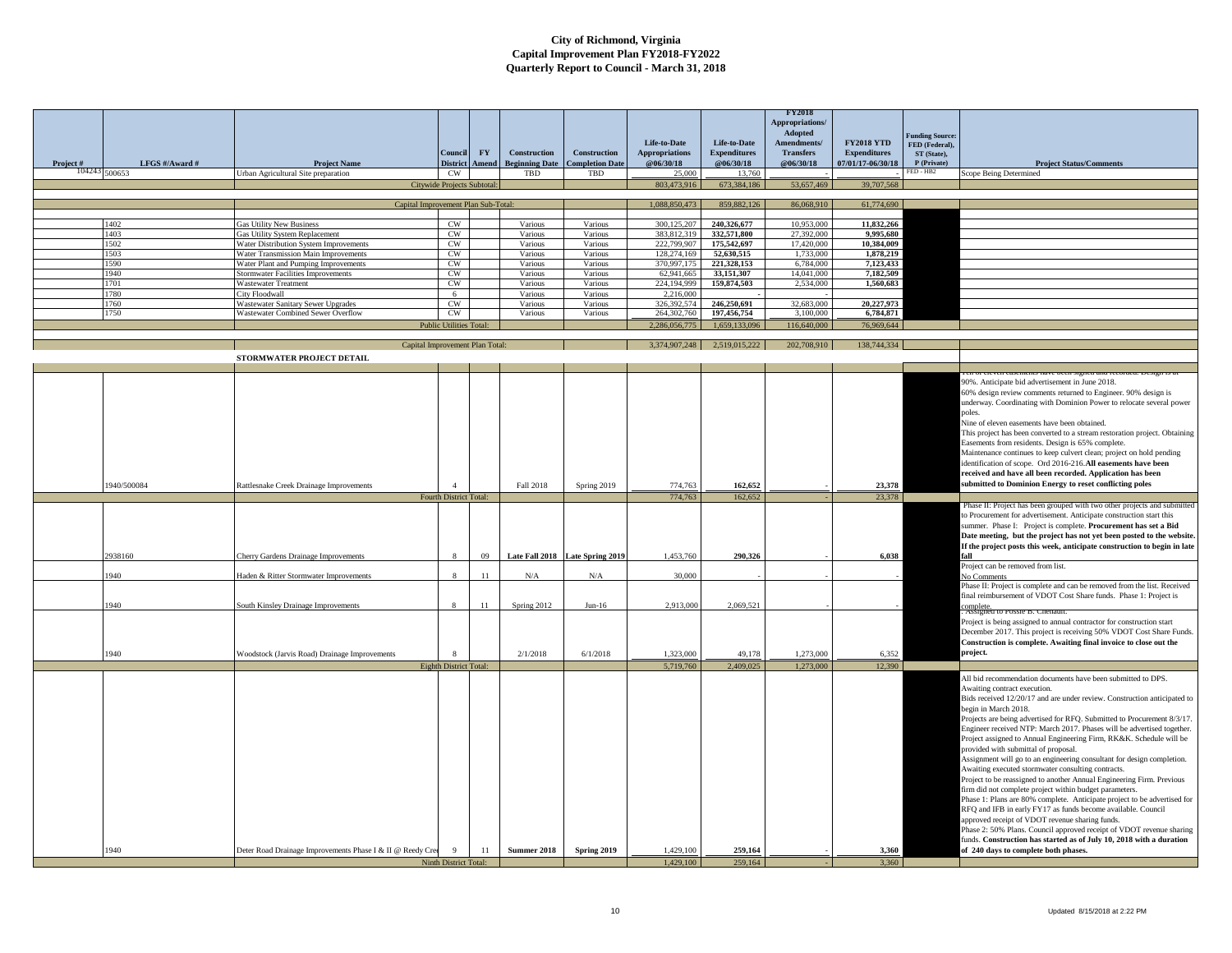|          |                |                                                                                |                                |                    |                                              |                                        |                                    |                                  | <b>FY2018</b><br><b>Appropriations</b><br>Adopted |                                          |                                          |                                                                                                                                                  |
|----------|----------------|--------------------------------------------------------------------------------|--------------------------------|--------------------|----------------------------------------------|----------------------------------------|------------------------------------|----------------------------------|---------------------------------------------------|------------------------------------------|------------------------------------------|--------------------------------------------------------------------------------------------------------------------------------------------------|
|          |                |                                                                                |                                |                    |                                              |                                        | Life-to-Date                       | Life-to-Date                     | Amendments/                                       | <b>FY2018 YTD</b>                        | <b>Funding Source:</b><br>FED (Federal). |                                                                                                                                                  |
| Project# | LFGS #/Award # | <b>Project Name</b>                                                            | Council<br><b>District</b>     | <b>FY</b><br>Amend | <b>Construction</b><br><b>Beginning Date</b> | Construction<br><b>Completion Date</b> | <b>Appropriations</b><br>@06/30/18 | <b>Expenditures</b><br>@06/30/18 | <b>Transfers</b><br>@06/30/18                     | <b>Expenditures</b><br>07/01/17-06/30/18 | ST (State),<br>P (Private)               | <b>Project Status/Comments</b>                                                                                                                   |
|          | 104243 500653  | Urban Agricultural Site preparation                                            | CW                             |                    | TBD                                          | TBD                                    | 25,000                             | 13,760                           |                                                   |                                          | FED - HB2                                | Scope Being Determined                                                                                                                           |
|          |                |                                                                                | Citywide Projects Subtotal:    |                    |                                              |                                        | 803,473,916                        | 673,384,186                      | 53,657,469                                        | 39,707,568                               |                                          |                                                                                                                                                  |
|          |                |                                                                                |                                |                    |                                              |                                        |                                    |                                  |                                                   |                                          |                                          |                                                                                                                                                  |
|          |                | Capital Improvement Plan Sub-Total:                                            |                                |                    |                                              |                                        | 1,088,850,473                      | 859,882,126                      | 86,068,910                                        | 61,774,690                               |                                          |                                                                                                                                                  |
|          | 1402           | Gas Utility New Business                                                       | CW                             |                    | Various                                      | Various                                | 300.125.207                        | 240.326.677                      | 10,953,000                                        | 11,832,266                               |                                          |                                                                                                                                                  |
|          | 1403<br>1502   | Gas Utility System Replacement                                                 | CW<br>CW                       |                    | Various<br>Various                           | Various<br>Various                     | 383,812,319<br>222,799,907         | 332.571.800<br>175,542,697       | 27,392,000<br>17,420,000                          | 9.995.680<br>10.384.009                  |                                          |                                                                                                                                                  |
|          | 1503           | Water Distribution System Improvements<br>Water Transmission Main Improvements | CW.                            |                    | Various                                      | Various                                | 128,274,169                        | 52,630,515                       | 1,733,000                                         | 1,878,219                                |                                          |                                                                                                                                                  |
|          | 1590           | Vater Plant and Pumping Improvements                                           | CW                             |                    | Various                                      | Various                                | 370,997,175                        | 221,328,153                      | 6,784,000                                         | 7,123,433                                |                                          |                                                                                                                                                  |
|          | 1940           | Stormwater Facilities Improvements                                             | CW                             |                    | Various                                      | Various                                | 62,941,665                         | 33,151,307                       | 14.041.000                                        | 7,182,509                                |                                          |                                                                                                                                                  |
|          | 1701<br>1780   | Wastewater Treatment<br>City Floodwall                                         | CW<br>6                        |                    | Various<br>Various                           | Various<br>Various                     | 224,194,999<br>2,216,000           | 159,874,503                      | 2,534,000                                         | 1,560,683                                |                                          |                                                                                                                                                  |
|          | 1760           | <b>Wastewater Sanitary Sewer Upgrades</b>                                      | CW                             |                    | Various                                      | Various                                | 326,392,574                        | 246,250,691                      | 32,683,000                                        | 20,227,973                               |                                          |                                                                                                                                                  |
|          | 1750           | Wastewater Combined Sewer Overflow                                             | $\mathrm{CW}$                  |                    | Various                                      | Various                                | 264,302,760                        | 197,456,754                      | 3,100,000                                         | 6.784.871                                |                                          |                                                                                                                                                  |
|          |                |                                                                                | <b>Public Utilities Total:</b> |                    |                                              |                                        | 2.286.056.775                      | 1,659,133,096                    | 116,640,000                                       | 76,969,644                               |                                          |                                                                                                                                                  |
|          |                | Capital Improvement Plan Total                                                 |                                |                    |                                              |                                        | 3,374,907,248                      | 2,519,015,222                    | 202,708,910                                       | 138,744,334                              |                                          |                                                                                                                                                  |
|          |                | STORMWATER PROJECT DETAIL                                                      |                                |                    |                                              |                                        |                                    |                                  |                                                   |                                          |                                          |                                                                                                                                                  |
|          |                |                                                                                |                                |                    |                                              |                                        |                                    |                                  |                                                   |                                          |                                          |                                                                                                                                                  |
|          |                |                                                                                |                                |                    |                                              |                                        |                                    |                                  |                                                   |                                          |                                          | 00%. Anticipate bid advertisement in June 2018.                                                                                                  |
|          |                |                                                                                |                                |                    |                                              |                                        |                                    |                                  |                                                   |                                          |                                          | 50% design review comments returned to Engineer. 90% design is                                                                                   |
|          |                |                                                                                |                                |                    |                                              |                                        |                                    |                                  |                                                   |                                          |                                          | inderway. Coordinating with Dominion Power to relocate several power                                                                             |
|          |                |                                                                                |                                |                    |                                              |                                        |                                    |                                  |                                                   |                                          |                                          | oles.                                                                                                                                            |
|          |                |                                                                                |                                |                    |                                              |                                        |                                    |                                  |                                                   |                                          |                                          | Nine of eleven easements have been obtained.<br>This project has been converted to a stream restoration project. Obtaining                       |
|          |                |                                                                                |                                |                    |                                              |                                        |                                    |                                  |                                                   |                                          |                                          | Easements from residents. Design is 65% complete.                                                                                                |
|          |                |                                                                                |                                |                    |                                              |                                        |                                    |                                  |                                                   |                                          |                                          | Maintenance continues to keep culvert clean; project on hold pending                                                                             |
|          |                |                                                                                |                                |                    |                                              |                                        |                                    |                                  |                                                   |                                          |                                          | identification of scope. Ord 2016-216.All easements have been                                                                                    |
|          | 1940/500084    |                                                                                |                                |                    |                                              |                                        |                                    |                                  |                                                   |                                          |                                          | received and have all been recorded. Application has been<br>submitted to Dominion Energy to reset conflicting poles                             |
|          |                | Rattlesnake Creek Drainage Improvements                                        | Fourth District Total:         |                    | Fall 2018                                    | Spring 2019                            | 774,763<br>774,763                 | 162,652<br>162,652               |                                                   | 23,378<br>23,378                         |                                          |                                                                                                                                                  |
|          |                |                                                                                |                                |                    |                                              |                                        |                                    |                                  |                                                   |                                          |                                          | Phase II: Project has been grouped with two other projects and submitted                                                                         |
|          |                |                                                                                |                                |                    |                                              |                                        |                                    |                                  |                                                   |                                          |                                          | to Procurement for advertisement. Anticipate construction start this                                                                             |
|          |                |                                                                                |                                |                    |                                              |                                        |                                    |                                  |                                                   |                                          |                                          | summer. Phase I: Project is complete. Procurement has set a Bid<br>Date meeting, but the project has not yet been posted to the website.         |
|          |                |                                                                                |                                |                    |                                              |                                        |                                    |                                  |                                                   |                                          |                                          | If the project posts this week, anticipate construction to begin in late                                                                         |
|          | 2938160        | Cherry Gardens Drainage Improvements                                           |                                | 09                 |                                              | Late Fall 2018 Late Spring 2019        | 1,453,760                          | 290,326                          |                                                   | 6,038                                    |                                          | fall                                                                                                                                             |
|          | 940            | Haden & Ritter Stormwater Improvements                                         |                                | 11                 | $\rm N/A$                                    | $\rm N/A$                              | 30,000                             |                                  |                                                   |                                          |                                          | Project can be removed from list.                                                                                                                |
|          |                |                                                                                |                                |                    |                                              |                                        |                                    |                                  |                                                   |                                          |                                          | No Comments<br>Phase II: Project is complete and can be removed from the list. Received                                                          |
|          |                |                                                                                |                                |                    |                                              |                                        |                                    |                                  |                                                   |                                          |                                          | final reimbursement of VDOT Cost Share funds. Phase 1: Project is                                                                                |
|          | 1940           | South Kinsley Drainage Improvements                                            | $\mathbf{x}$                   | 11                 | Spring 2012                                  | $Jun-16$                               | 2,913,000                          | 2,069,521                        |                                                   |                                          |                                          | complete.<br>Assigned                                                                                                                            |
|          |                |                                                                                |                                |                    |                                              |                                        |                                    |                                  |                                                   |                                          |                                          | Project is being assigned to annual contractor for construction start                                                                            |
|          |                |                                                                                |                                |                    |                                              |                                        |                                    |                                  |                                                   |                                          |                                          | December 2017. This project is receiving 50% VDOT Cost Share Funds.                                                                              |
|          |                |                                                                                | $\mathbf{R}$                   |                    |                                              |                                        |                                    |                                  |                                                   |                                          |                                          | Construction is complete. Awaiting final invoice to close out the<br>project.                                                                    |
|          | 1940           | Woodstock (Jarvis Road) Drainage Improvements                                  |                                |                    | 2/1/2018                                     | 6/1/2018                               | 1.323,000<br>5,719,760             | 49.178<br>2,409,025              | 1,273,000<br>1,273,000                            | 6,352<br>12,390                          |                                          |                                                                                                                                                  |
|          |                |                                                                                | Eighth District Total:         |                    |                                              |                                        |                                    |                                  |                                                   |                                          |                                          | All bid recommendation documents have been submitted to DPS.                                                                                     |
|          |                |                                                                                |                                |                    |                                              |                                        |                                    |                                  |                                                   |                                          |                                          | Awaiting contract execution.                                                                                                                     |
|          |                |                                                                                |                                |                    |                                              |                                        |                                    |                                  |                                                   |                                          |                                          | Bids received 12/20/17 and are under review. Construction anticipated to                                                                         |
|          |                |                                                                                |                                |                    |                                              |                                        |                                    |                                  |                                                   |                                          |                                          | begin in March 2018.                                                                                                                             |
|          |                |                                                                                |                                |                    |                                              |                                        |                                    |                                  |                                                   |                                          |                                          | Projects are being advertised for RFQ. Submitted to Procurement 8/3/17<br>Engineer received NTP: March 2017. Phases will be advertised together. |
|          |                |                                                                                |                                |                    |                                              |                                        |                                    |                                  |                                                   |                                          |                                          | Project assigned to Annual Engineering Firm, RK&K. Schedule will be                                                                              |
|          |                |                                                                                |                                |                    |                                              |                                        |                                    |                                  |                                                   |                                          |                                          | provided with submittal of proposal.                                                                                                             |
|          |                |                                                                                |                                |                    |                                              |                                        |                                    |                                  |                                                   |                                          |                                          | Assignment will go to an engineering consultant for design completion.<br>Awaiting executed stormwater consulting contracts.                     |
|          |                |                                                                                |                                |                    |                                              |                                        |                                    |                                  |                                                   |                                          |                                          | Project to be reassigned to another Annual Engineering Firm. Previous                                                                            |
|          |                |                                                                                |                                |                    |                                              |                                        |                                    |                                  |                                                   |                                          |                                          | firm did not complete project within budget parameters.                                                                                          |
|          |                |                                                                                |                                |                    |                                              |                                        |                                    |                                  |                                                   |                                          |                                          | Phase 1: Plans are 80% complete. Anticipate project to be advertised for                                                                         |
|          |                |                                                                                |                                |                    |                                              |                                        |                                    |                                  |                                                   |                                          |                                          | RFQ and IFB in early FY17 as funds become available. Council<br>approved receipt of VDOT revenue sharing funds.                                  |
|          |                |                                                                                |                                |                    |                                              |                                        |                                    |                                  |                                                   |                                          |                                          | Phase 2: 50% Plans. Council approved receipt of VDOT revenue sharing                                                                             |
|          |                |                                                                                |                                |                    |                                              |                                        |                                    |                                  |                                                   |                                          |                                          | unds. Construction has started as of July 10, 2018 with a duration                                                                               |
|          | 1940           | Deter Road Drainage Improvements Phase I & II @ Reedy Cree                     | 9                              | 11                 | Summer 2018                                  | Spring 2019                            | 1,429,100                          | 259,164                          |                                                   | 3,360                                    |                                          | of 240 days to complete both phases.                                                                                                             |
|          |                |                                                                                | Ninth District Total:          |                    |                                              |                                        | 1,429,100                          | 259,164                          |                                                   | 3,360                                    |                                          |                                                                                                                                                  |